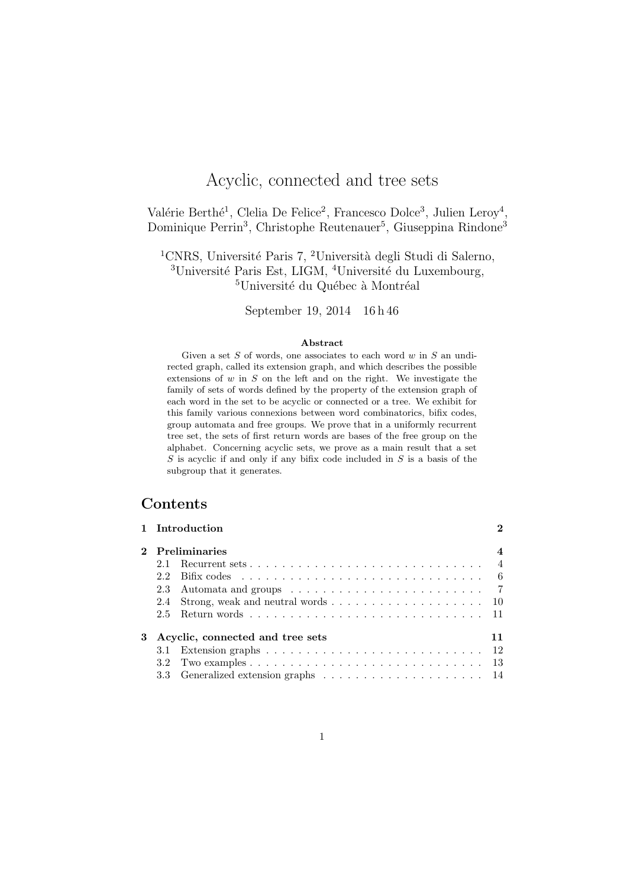# Acyclic, connected and tree sets

Valérie Berthé<sup>1</sup>, Clelia De Felice<sup>2</sup>, Francesco Dolce<sup>3</sup>, Julien Leroy<sup>4</sup>, Dominique Perrin<sup>3</sup>, Christophe Reutenauer<sup>5</sup>, Giuseppina Rindone<sup>3</sup>

<sup>1</sup>CNRS, Université Paris 7, <sup>2</sup>Università degli Studi di Salerno,  $3$ Université Paris Est, LIGM,  $4$ Université du Luxembourg,  ${}^{5}$ Université du Québec à Montréal

September 19, 2014 16 h 46

#### Abstract

Given a set  $S$  of words, one associates to each word  $w$  in  $S$  an undirected graph, called its extension graph, and which describes the possible extensions of  $w$  in  $S$  on the left and on the right. We investigate the family of sets of words defined by the property of the extension graph of each word in the set to be acyclic or connected or a tree. We exhibit for this family various connexions between word combinatorics, bifix codes, group automata and free groups. We prove that in a uniformly recurrent tree set, the sets of first return words are bases of the free group on the alphabet. Concerning acyclic sets, we prove as a main result that a set  $S$  is acyclic if and only if any bifix code included in  $S$  is a basis of the subgroup that it generates.

# Contents

|             |                                        | 1 Introduction                                                                      | റ |  |  |
|-------------|----------------------------------------|-------------------------------------------------------------------------------------|---|--|--|
| $2^{\circ}$ | Preliminaries                          |                                                                                     |   |  |  |
|             |                                        |                                                                                     |   |  |  |
|             | 22                                     | Bifix codes $\ldots \ldots \ldots \ldots \ldots \ldots \ldots \ldots \ldots \ldots$ |   |  |  |
|             |                                        |                                                                                     |   |  |  |
|             |                                        |                                                                                     |   |  |  |
|             | 2.5                                    |                                                                                     |   |  |  |
| 3           | Acyclic, connected and tree sets<br>11 |                                                                                     |   |  |  |
|             |                                        |                                                                                     |   |  |  |
|             |                                        |                                                                                     |   |  |  |
|             |                                        |                                                                                     |   |  |  |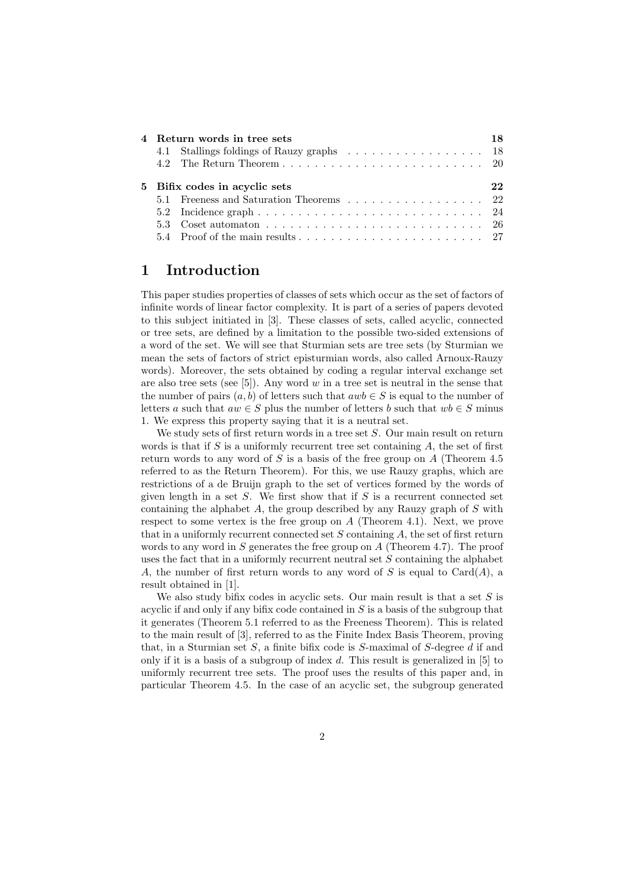| 4 Return words in tree sets   |                                                                                                                |  |  |
|-------------------------------|----------------------------------------------------------------------------------------------------------------|--|--|
|                               |                                                                                                                |  |  |
|                               |                                                                                                                |  |  |
| 5 Bifix codes in acyclic sets |                                                                                                                |  |  |
|                               | 5.1 Freeness and Saturation Theorems 22                                                                        |  |  |
|                               | 5.2 Incidence graph $\ldots \ldots \ldots \ldots \ldots \ldots \ldots \ldots \ldots \ldots 24$                 |  |  |
|                               | 5.3 Coset automaton $\ldots$ , $\ldots$ , $\ldots$ , $\ldots$ , $\ldots$ , $\ldots$ , $\ldots$ , $\ldots$ , 26 |  |  |
|                               |                                                                                                                |  |  |

# 1 Introduction

This paper studies properties of classes of sets which occur as the set of factors of infinite words of linear factor complexity. It is part of a series of papers devoted to this subject initiated in [3]. These classes of sets, called acyclic, connected or tree sets, are defined by a limitation to the possible two-sided extensions of a word of the set. We will see that Sturmian sets are tree sets (by Sturmian we mean the sets of factors of strict episturmian words, also called Arnoux-Rauzy words). Moreover, the sets obtained by coding a regular interval exchange set are also tree sets (see [5]). Any word  $w$  in a tree set is neutral in the sense that the number of pairs  $(a, b)$  of letters such that  $awb \in S$  is equal to the number of letters a such that  $aw \in S$  plus the number of letters b such that  $wb \in S$  minus 1. We express this property saying that it is a neutral set.

We study sets of first return words in a tree set  $S$ . Our main result on return words is that if  $S$  is a uniformly recurrent tree set containing  $A$ , the set of first return words to any word of S is a basis of the free group on A (Theorem 4.5) referred to as the Return Theorem). For this, we use Rauzy graphs, which are restrictions of a de Bruijn graph to the set of vertices formed by the words of given length in a set  $S$ . We first show that if  $S$  is a recurrent connected set containing the alphabet A, the group described by any Rauzy graph of S with respect to some vertex is the free group on  $A$  (Theorem 4.1). Next, we prove that in a uniformly recurrent connected set  $S$  containing  $A$ , the set of first return words to any word in  $S$  generates the free group on  $A$  (Theorem 4.7). The proof uses the fact that in a uniformly recurrent neutral set  $S$  containing the alphabet A, the number of first return words to any word of S is equal to Card $(A)$ , a result obtained in [1].

We also study bifix codes in acyclic sets. Our main result is that a set  $S$  is acyclic if and only if any bifix code contained in  $S$  is a basis of the subgroup that it generates (Theorem 5.1 referred to as the Freeness Theorem). This is related to the main result of [3], referred to as the Finite Index Basis Theorem, proving that, in a Sturmian set  $S$ , a finite bifix code is  $S$ -maximal of  $S$ -degree  $d$  if and only if it is a basis of a subgroup of index d. This result is generalized in [5] to uniformly recurrent tree sets. The proof uses the results of this paper and, in particular Theorem 4.5. In the case of an acyclic set, the subgroup generated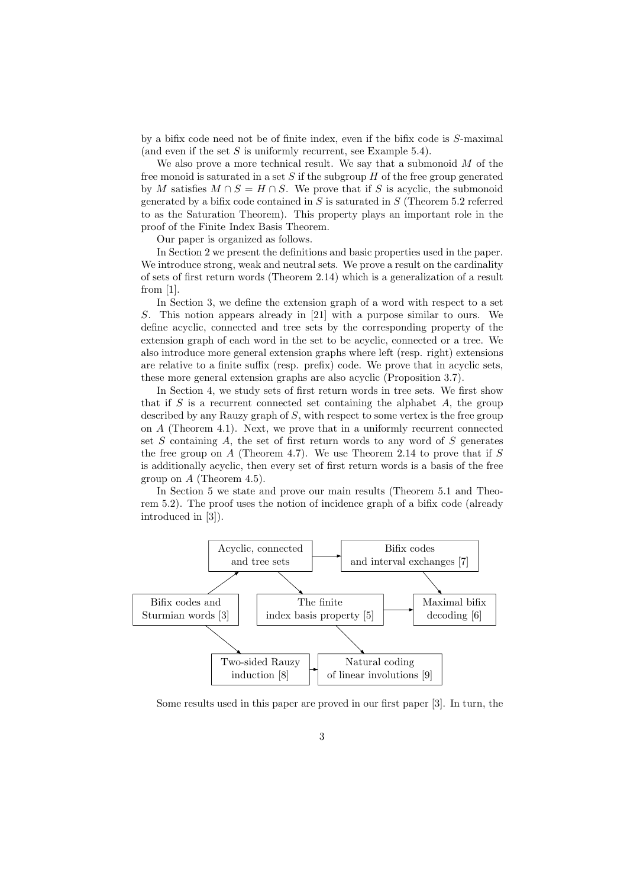by a bifix code need not be of finite index, even if the bifix code is S-maximal (and even if the set  $S$  is uniformly recurrent, see Example 5.4).

We also prove a more technical result. We say that a submonoid  $M$  of the free monoid is saturated in a set  $S$  if the subgroup  $H$  of the free group generated by M satisfies  $M \cap S = H \cap S$ . We prove that if S is acyclic, the submonoid generated by a bifix code contained in  $S$  is saturated in  $S$  (Theorem 5.2 referred to as the Saturation Theorem). This property plays an important role in the proof of the Finite Index Basis Theorem.

Our paper is organized as follows.

In Section 2 we present the definitions and basic properties used in the paper. We introduce strong, weak and neutral sets. We prove a result on the cardinality of sets of first return words (Theorem 2.14) which is a generalization of a result from [1].

In Section 3, we define the extension graph of a word with respect to a set S. This notion appears already in [21] with a purpose similar to ours. We define acyclic, connected and tree sets by the corresponding property of the extension graph of each word in the set to be acyclic, connected or a tree. We also introduce more general extension graphs where left (resp. right) extensions are relative to a finite suffix (resp. prefix) code. We prove that in acyclic sets, these more general extension graphs are also acyclic (Proposition 3.7).

In Section 4, we study sets of first return words in tree sets. We first show that if  $S$  is a recurrent connected set containing the alphabet  $A$ , the group described by any Rauzy graph of S, with respect to some vertex is the free group on A (Theorem 4.1). Next, we prove that in a uniformly recurrent connected set  $S$  containing  $A$ , the set of first return words to any word of  $S$  generates the free group on  $A$  (Theorem 4.7). We use Theorem 2.14 to prove that if  $S$ is additionally acyclic, then every set of first return words is a basis of the free group on A (Theorem 4.5).

In Section 5 we state and prove our main results (Theorem 5.1 and Theorem 5.2). The proof uses the notion of incidence graph of a bifix code (already introduced in [3]).



Some results used in this paper are proved in our first paper [3]. In turn, the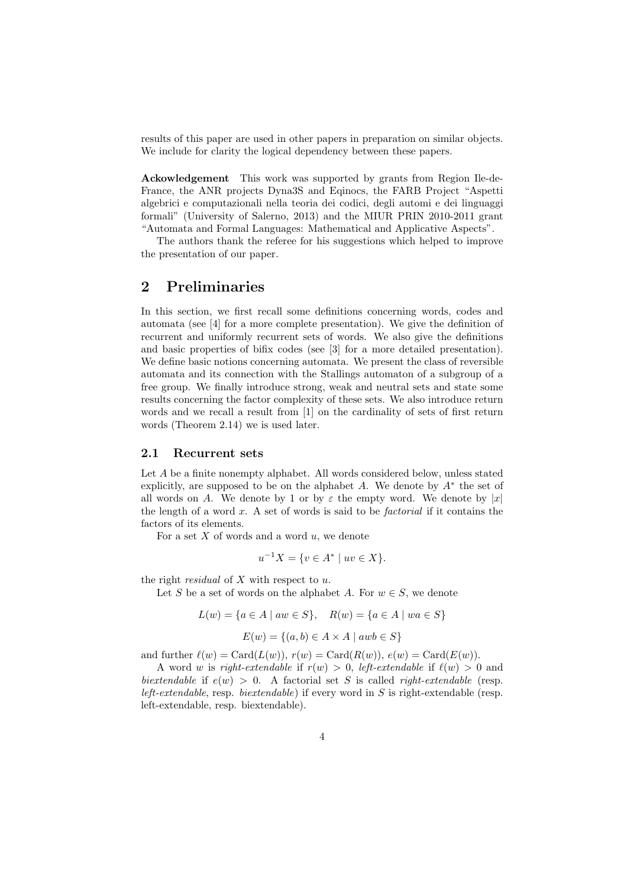results of this paper are used in other papers in preparation on similar objects. We include for clarity the logical dependency between these papers.

Ackowledgement This work was supported by grants from Region Ile-de-France, the ANR projects Dyna3S and Eqinocs, the FARB Project "Aspetti algebrici e computazionali nella teoria dei codici, degli automi e dei linguaggi formali" (University of Salerno, 2013) and the MIUR PRIN 2010-2011 grant "Automata and Formal Languages: Mathematical and Applicative Aspects".

The authors thank the referee for his suggestions which helped to improve the presentation of our paper.

### 2 Preliminaries

In this section, we first recall some definitions concerning words, codes and automata (see [4] for a more complete presentation). We give the definition of recurrent and uniformly recurrent sets of words. We also give the definitions and basic properties of bifix codes (see [3] for a more detailed presentation). We define basic notions concerning automata. We present the class of reversible automata and its connection with the Stallings automaton of a subgroup of a free group. We finally introduce strong, weak and neutral sets and state some results concerning the factor complexity of these sets. We also introduce return words and we recall a result from [1] on the cardinality of sets of first return words (Theorem 2.14) we is used later.

#### 2.1 Recurrent sets

Let A be a finite nonempty alphabet. All words considered below, unless stated explicitly, are supposed to be on the alphabet  $A$ . We denote by  $A^*$  the set of all words on A. We denote by 1 or by  $\varepsilon$  the empty word. We denote by  $|x|$ the length of a word  $x$ . A set of words is said to be *factorial* if it contains the factors of its elements.

For a set  $X$  of words and a word  $u$ , we denote

$$
u^{-1}X = \{ v \in A^* \mid uv \in X \}.
$$

the right *residual* of  $X$  with respect to  $u$ .

Let S be a set of words on the alphabet A. For  $w \in S$ , we denote

$$
L(w) = \{ a \in A \mid aw \in S \}, \quad R(w) = \{ a \in A \mid wa \in S \}
$$

$$
E(w) = \{(a, b) \in A \times A \mid awb \in S\}
$$

and further  $\ell(w) = \text{Card}(L(w)), r(w) = \text{Card}(R(w)), e(w) = \text{Card}(E(w)).$ 

A word w is right-extendable if  $r(w) > 0$ , left-extendable if  $\ell(w) > 0$  and biextendable if  $e(w) > 0$ . A factorial set S is called *right-extendable* (resp. *left-extendable*, resp. *biextendable*) if every word in  $S$  is right-extendable (resp. left-extendable, resp. biextendable).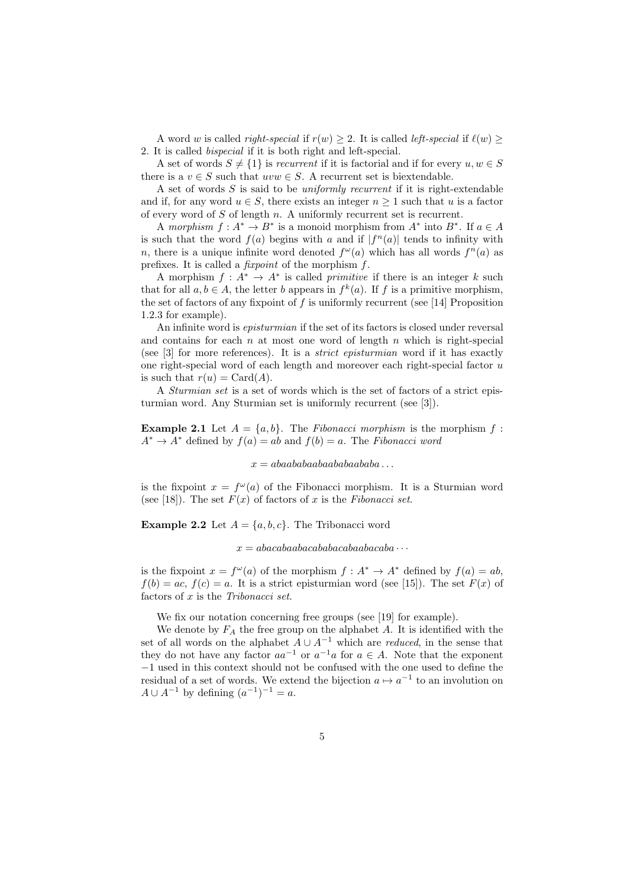A word w is called *right-special* if  $r(w) \geq 2$ . It is called *left-special* if  $\ell(w) \geq 2$ 2. It is called bispecial if it is both right and left-special.

A set of words  $S \neq \{1\}$  is recurrent if it is factorial and if for every  $u, w \in S$ there is a  $v \in S$  such that  $uvw \in S$ . A recurrent set is biextendable.

A set of words  $S$  is said to be *uniformly recurrent* if it is right-extendable and if, for any word  $u \in S$ , there exists an integer  $n \geq 1$  such that u is a factor of every word of S of length n. A uniformly recurrent set is recurrent.

A morphism  $f: A^* \to B^*$  is a monoid morphism from  $A^*$  into  $B^*$ . If  $a \in A$ is such that the word  $f(a)$  begins with a and if  $|f^n(a)|$  tends to infinity with n, there is a unique infinite word denoted  $f^{\omega}(a)$  which has all words  $f^{n}(a)$  as prefixes. It is called a fixpoint of the morphism f.

A morphism  $f: A^* \to A^*$  is called *primitive* if there is an integer k such that for all  $a, b \in A$ , the letter b appears in  $f^k(a)$ . If f is a primitive morphism, the set of factors of any fixpoint of  $f$  is uniformly recurrent (see [14] Proposition 1.2.3 for example).

An infinite word is episturmian if the set of its factors is closed under reversal and contains for each  $n$  at most one word of length  $n$  which is right-special (see [3] for more references). It is a strict episturmian word if it has exactly one right-special word of each length and moreover each right-special factor  $u$ is such that  $r(u) = \text{Card}(A)$ .

A Sturmian set is a set of words which is the set of factors of a strict episturmian word. Any Sturmian set is uniformly recurrent (see [3]).

**Example 2.1** Let  $A = \{a, b\}$ . The *Fibonacci morphism* is the morphism  $f$ :  $A^* \to A^*$  defined by  $f(a) = ab$  and  $f(b) = a$ . The Fibonacci word

 $x = abaababaabaabaabaabaababa \dots$ 

is the fixpoint  $x = f^{\omega}(a)$  of the Fibonacci morphism. It is a Sturmian word (see [18]). The set  $F(x)$  of factors of x is the Fibonacci set.

**Example 2.2** Let  $A = \{a, b, c\}$ . The Tribonacci word

 $x = abacabaabacabacabacabaabacaba \cdots$ 

is the fixpoint  $x = f^{\omega}(a)$  of the morphism  $f : A^* \to A^*$  defined by  $f(a) = ab$ ,  $f(b) = ac$ ,  $f(c) = a$ . It is a strict episturmian word (see [15]). The set  $F(x)$  of factors of x is the Tribonacci set.

We fix our notation concerning free groups (see [19] for example).

We denote by  $F_A$  the free group on the alphabet A. It is identified with the set of all words on the alphabet  $A \cup A^{-1}$  which are *reduced*, in the sense that they do not have any factor  $aa^{-1}$  or  $a^{-1}a$  for  $a \in A$ . Note that the exponent −1 used in this context should not be confused with the one used to define the residual of a set of words. We extend the bijection  $a \mapsto a^{-1}$  to an involution on  $A \cup A^{-1}$  by defining  $(a^{-1})^{-1} = a$ .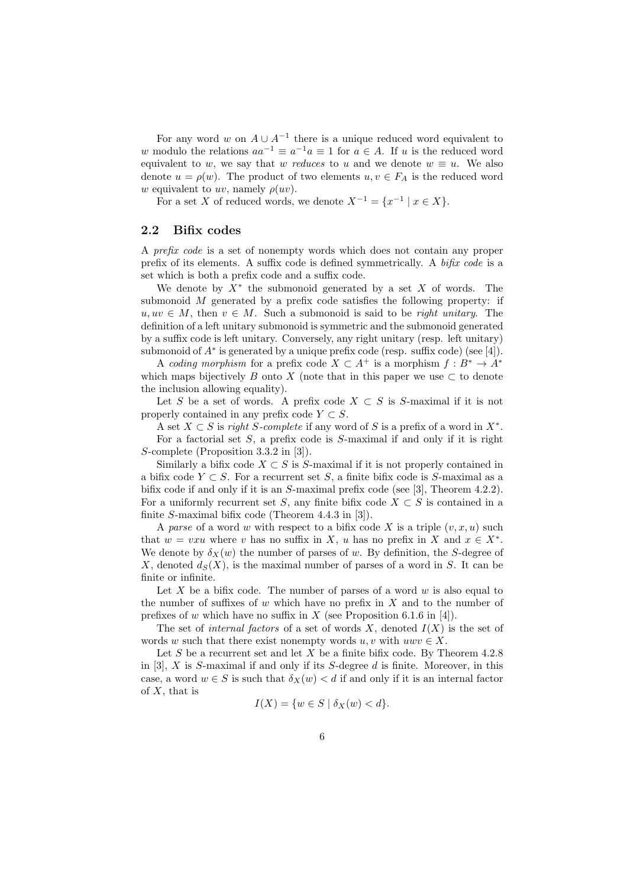For any word w on  $A \cup A^{-1}$  there is a unique reduced word equivalent to w modulo the relations  $aa^{-1} \equiv a^{-1}a \equiv 1$  for  $a \in A$ . If u is the reduced word equivalent to w, we say that w reduces to u and we denote  $w \equiv u$ . We also denote  $u = \rho(w)$ . The product of two elements  $u, v \in F_A$  is the reduced word w equivalent to uv, namely  $\rho(uv)$ .

For a set X of reduced words, we denote  $X^{-1} = \{x^{-1} | x \in X\}.$ 

#### 2.2 Bifix codes

A prefix code is a set of nonempty words which does not contain any proper prefix of its elements. A suffix code is defined symmetrically. A bifix code is a set which is both a prefix code and a suffix code.

We denote by  $X^*$  the submonoid generated by a set X of words. The submonoid M generated by a prefix code satisfies the following property: if  $u, uv \in M$ , then  $v \in M$ . Such a submonoid is said to be *right unitary*. The definition of a left unitary submonoid is symmetric and the submonoid generated by a suffix code is left unitary. Conversely, any right unitary (resp. left unitary) submonoid of  $A^*$  is generated by a unique prefix code (resp. suffix code) (see [4]).

A coding morphism for a prefix code  $X \subset A^+$  is a morphism  $f : B^* \to A^*$ which maps bijectively B onto X (note that in this paper we use  $\subset$  to denote the inclusion allowing equality).

Let S be a set of words. A prefix code  $X \subset S$  is S-maximal if it is not properly contained in any prefix code  $Y \subset S$ .

A set  $X \subset S$  is *right S-complete* if any word of S is a prefix of a word in  $X^*$ . For a factorial set  $S$ , a prefix code is  $S$ -maximal if and only if it is right S-complete (Proposition 3.3.2 in [3]).

Similarly a bifix code  $X \subset S$  is S-maximal if it is not properly contained in a bifix code  $Y \subset S$ . For a recurrent set S, a finite bifix code is S-maximal as a bifix code if and only if it is an S-maximal prefix code (see [3], Theorem 4.2.2). For a uniformly recurrent set S, any finite bifix code  $X \subset S$  is contained in a finite S-maximal bifix code (Theorem 4.4.3 in [3]).

A parse of a word w with respect to a bifix code X is a triple  $(v, x, u)$  such that  $w = v x u$  where v has no suffix in X, u has no prefix in X and  $x \in X^*$ . We denote by  $\delta_X(w)$  the number of parses of w. By definition, the S-degree of X, denoted  $d_S(X)$ , is the maximal number of parses of a word in S. It can be finite or infinite.

Let X be a bifix code. The number of parses of a word  $w$  is also equal to the number of suffixes of  $w$  which have no prefix in  $X$  and to the number of prefixes of w which have no suffix in  $X$  (see Proposition 6.1.6 in [4]).

The set of *internal factors* of a set of words X, denoted  $I(X)$  is the set of words w such that there exist nonempty words  $u, v$  with  $uwv \in X$ .

Let S be a recurrent set and let X be a finite bifix code. By Theorem  $4.2.8$ in [3],  $X$  is  $S$ -maximal if and only if its  $S$ -degree  $d$  is finite. Moreover, in this case, a word  $w \in S$  is such that  $\delta_X(w) < d$  if and only if it is an internal factor of  $X$ , that is

$$
I(X) = \{w \in S \mid \delta_X(w) < d\}
$$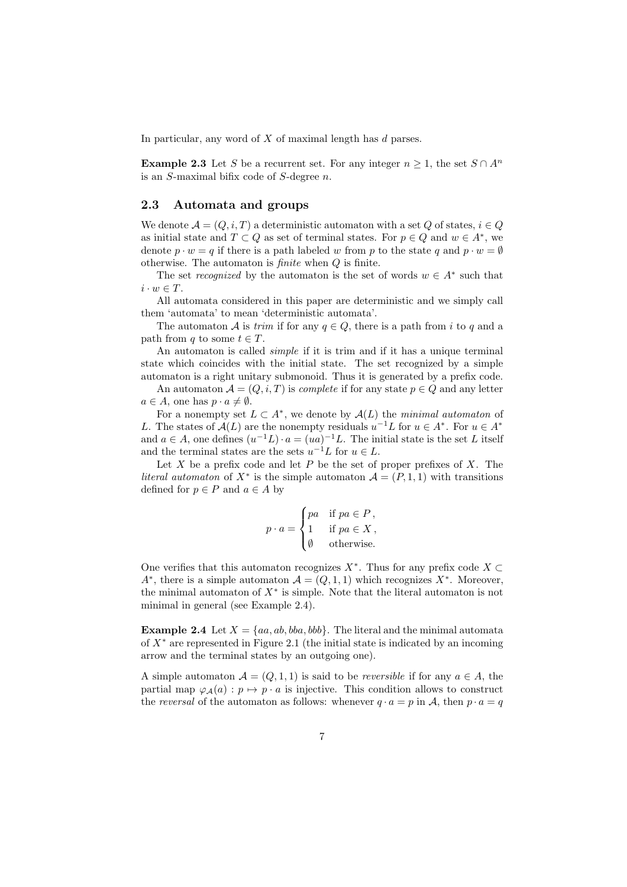In particular, any word of  $X$  of maximal length has  $d$  parses.

**Example 2.3** Let S be a recurrent set. For any integer  $n \geq 1$ , the set  $S \cap A^n$ is an S-maximal bifix code of S-degree n.

#### 2.3 Automata and groups

We denote  $\mathcal{A} = (Q, i, T)$  a deterministic automaton with a set Q of states,  $i \in Q$ as initial state and  $T \subset Q$  as set of terminal states. For  $p \in Q$  and  $w \in A^*$ , we denote  $p \cdot w = q$  if there is a path labeled w from p to the state q and  $p \cdot w = \emptyset$ otherwise. The automaton is finite when Q is finite.

The set *recognized* by the automaton is the set of words  $w \in A^*$  such that  $i \cdot w \in T$ .

All automata considered in this paper are deterministic and we simply call them 'automata' to mean 'deterministic automata'.

The automaton A is *trim* if for any  $q \in Q$ , there is a path from i to q and a path from q to some  $t \in T$ .

An automaton is called simple if it is trim and if it has a unique terminal state which coincides with the initial state. The set recognized by a simple automaton is a right unitary submonoid. Thus it is generated by a prefix code.

An automaton  $\mathcal{A} = (Q, i, T)$  is *complete* if for any state  $p \in Q$  and any letter  $a \in A$ , one has  $p \cdot a \neq \emptyset$ .

For a nonempty set  $L \subset A^*$ , we denote by  $\mathcal{A}(L)$  the minimal automaton of L. The states of  $\mathcal{A}(L)$  are the nonempty residuals  $u^{-1}L$  for  $u \in A^*$ . For  $u \in A^*$ and  $a \in A$ , one defines  $(u^{-1}L) \cdot a = (ua)^{-1}L$ . The initial state is the set L itself and the terminal states are the sets  $u^{-1}L$  for  $u \in L$ .

Let X be a prefix code and let P be the set of proper prefixes of X. The *literal automaton* of  $X^*$  is the simple automaton  $\mathcal{A} = (P, 1, 1)$  with transitions defined for  $p \in P$  and  $a \in A$  by

$$
p \cdot a = \begin{cases} pa & \text{if } pa \in P, \\ 1 & \text{if } pa \in X, \\ \emptyset & \text{otherwise.} \end{cases}
$$

One verifies that this automaton recognizes  $X^*$ . Thus for any prefix code  $X \subset$ A<sup>\*</sup>, there is a simple automaton  $\mathcal{A} = (Q, 1, 1)$  which recognizes  $X^*$ . Moreover, the minimal automaton of  $X^*$  is simple. Note that the literal automaton is not minimal in general (see Example 2.4).

**Example 2.4** Let  $X = \{aa, ab, bba, bbb\}$ . The literal and the minimal automata of  $X^*$  are represented in Figure 2.1 (the initial state is indicated by an incoming arrow and the terminal states by an outgoing one).

A simple automaton  $A = (Q, 1, 1)$  is said to be *reversible* if for any  $a \in A$ , the partial map  $\varphi_{\mathcal{A}}(a) : p \mapsto p \cdot a$  is injective. This condition allows to construct the reversal of the automaton as follows: whenever  $q \cdot a = p$  in A, then  $p \cdot a = q$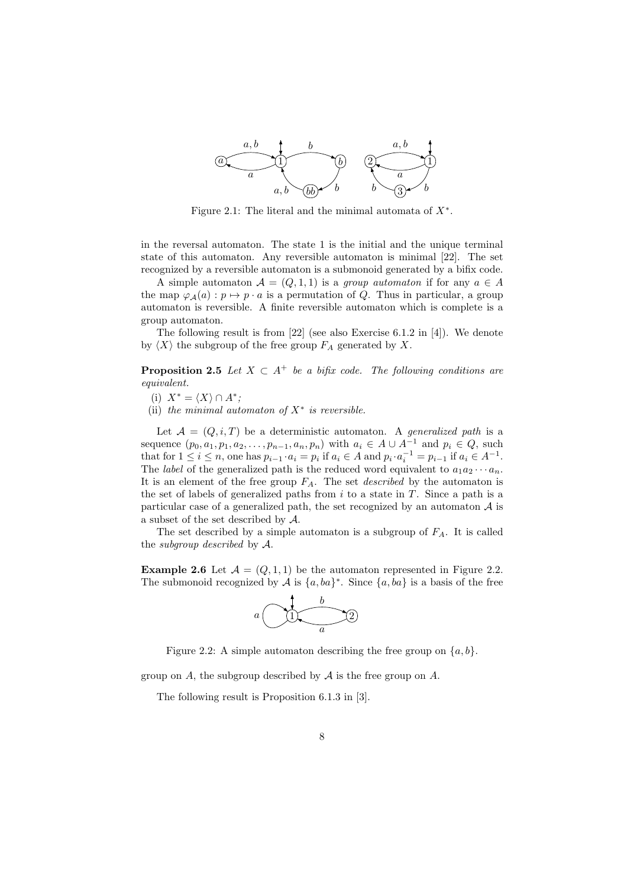

Figure 2.1: The literal and the minimal automata of  $X^*$ .

in the reversal automaton. The state 1 is the initial and the unique terminal state of this automaton. Any reversible automaton is minimal [22]. The set recognized by a reversible automaton is a submonoid generated by a bifix code.

A simple automaton  $A = (Q, 1, 1)$  is a group automaton if for any  $a \in A$ the map  $\varphi_A(a) : p \mapsto p \cdot a$  is a permutation of Q. Thus in particular, a group automaton is reversible. A finite reversible automaton which is complete is a group automaton.

The following result is from [22] (see also Exercise 6.1.2 in [4]). We denote by  $\langle X \rangle$  the subgroup of the free group  $F_A$  generated by X.

**Proposition 2.5** Let  $X \subset A^+$  be a bifix code. The following conditions are equivalent.

- (i)  $X^* = \langle X \rangle \cap A^*;$
- (ii) the minimal automaton of  $X^*$  is reversible.

Let  $\mathcal{A} = (Q, i, T)$  be a deterministic automaton. A generalized path is a sequence  $(p_0, a_1, p_1, a_2, \ldots, p_{n-1}, a_n, p_n)$  with  $a_i \in A \cup A^{-1}$  and  $p_i \in Q$ , such that for  $1 \leq i \leq n$ , one has  $p_{i-1} \cdot a_i = p_i$  if  $a_i \in A$  and  $p_i \cdot a_i^{-1} = p_{i-1}$  if  $a_i \in A^{-1}$ . The *label* of the generalized path is the reduced word equivalent to  $a_1a_2\cdots a_n$ . It is an element of the free group  $F_A$ . The set *described* by the automaton is the set of labels of generalized paths from  $i$  to a state in  $T$ . Since a path is a particular case of a generalized path, the set recognized by an automaton  $A$  is a subset of the set described by A.

The set described by a simple automaton is a subgroup of  $F_A$ . It is called the subgroup described by A.

**Example 2.6** Let  $\mathcal{A} = (Q, 1, 1)$  be the automaton represented in Figure 2.2. The submonoid recognized by A is  $\{a, ba\}^*$ . Since  $\{a, ba\}$  is a basis of the free



Figure 2.2: A simple automaton describing the free group on  $\{a, b\}$ .

group on A, the subgroup described by  $A$  is the free group on  $A$ .

The following result is Proposition 6.1.3 in [3].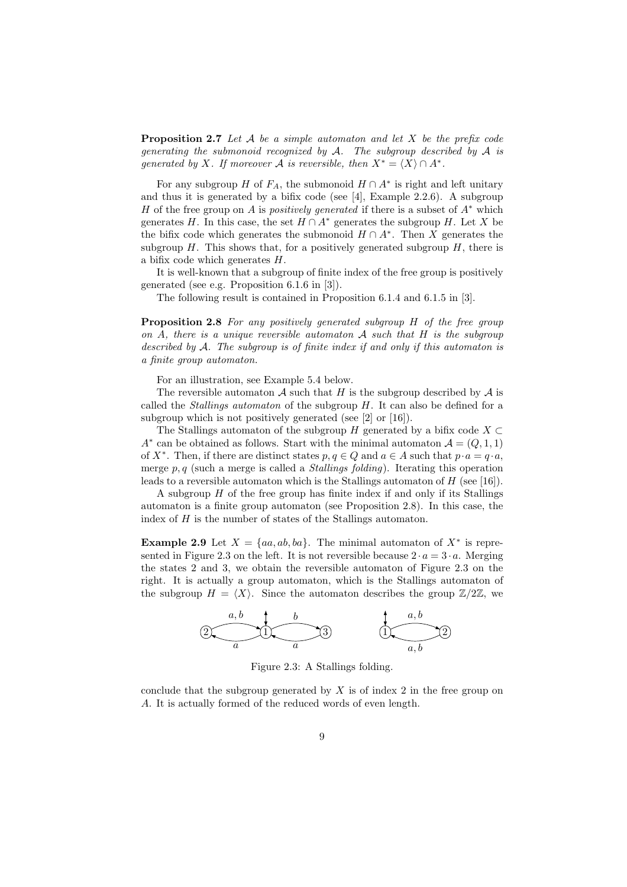**Proposition 2.7** Let  $A$  be a simple automaton and let  $X$  be the prefix code generating the submonoid recognized by  $A$ . The subgroup described by  $A$  is generated by X. If moreover A is reversible, then  $X^* = \langle X \rangle \cap A^*$ .

For any subgroup H of  $F_A$ , the submonoid  $H \cap A^*$  is right and left unitary and thus it is generated by a bifix code (see  $[4]$ , Example 2.2.6). A subgroup H of the free group on A is *positively generated* if there is a subset of  $A^*$  which generates H. In this case, the set  $H \cap A^*$  generates the subgroup H. Let X be the bifix code which generates the submonoid  $H \cap A^*$ . Then X generates the subgroup  $H$ . This shows that, for a positively generated subgroup  $H$ , there is a bifix code which generates H.

It is well-known that a subgroup of finite index of the free group is positively generated (see e.g. Proposition 6.1.6 in [3]).

The following result is contained in Proposition 6.1.4 and 6.1.5 in [3].

Proposition 2.8 For any positively generated subgroup H of the free group on A, there is a unique reversible automaton  $\mathcal A$  such that  $H$  is the subgroup described by A. The subgroup is of finite index if and only if this automaton is a finite group automaton.

For an illustration, see Example 5.4 below.

The reversible automaton A such that H is the subgroup described by  $A$  is called the *Stallings automaton* of the subgroup  $H$ . It can also be defined for a subgroup which is not positively generated (see [2] or [16]).

The Stallings automaton of the subgroup H generated by a bifix code  $X \subset$ A<sup>\*</sup> can be obtained as follows. Start with the minimal automaton  $\mathcal{A} = (Q, 1, 1)$ of  $X^*$ . Then, if there are distinct states  $p, q \in Q$  and  $a \in A$  such that  $p \cdot a = q \cdot a$ , merge  $p, q$  (such a merge is called a *Stallings folding*). Iterating this operation leads to a reversible automaton which is the Stallings automaton of  $H$  (see [16]).

A subgroup H of the free group has finite index if and only if its Stallings automaton is a finite group automaton (see Proposition 2.8). In this case, the index of H is the number of states of the Stallings automaton.

**Example 2.9** Let  $X = \{aa, ab, ba\}$ . The minimal automaton of  $X^*$  is represented in Figure 2.3 on the left. It is not reversible because  $2 \cdot a = 3 \cdot a$ . Merging the states 2 and 3, we obtain the reversible automaton of Figure 2.3 on the right. It is actually a group automaton, which is the Stallings automaton of the subgroup  $H = \langle X \rangle$ . Since the automaton describes the group  $\mathbb{Z}/2\mathbb{Z}$ , we

2 1 3 a a, b b a 1 2 a, b a, b

Figure 2.3: A Stallings folding.

conclude that the subgroup generated by  $X$  is of index 2 in the free group on A. It is actually formed of the reduced words of even length.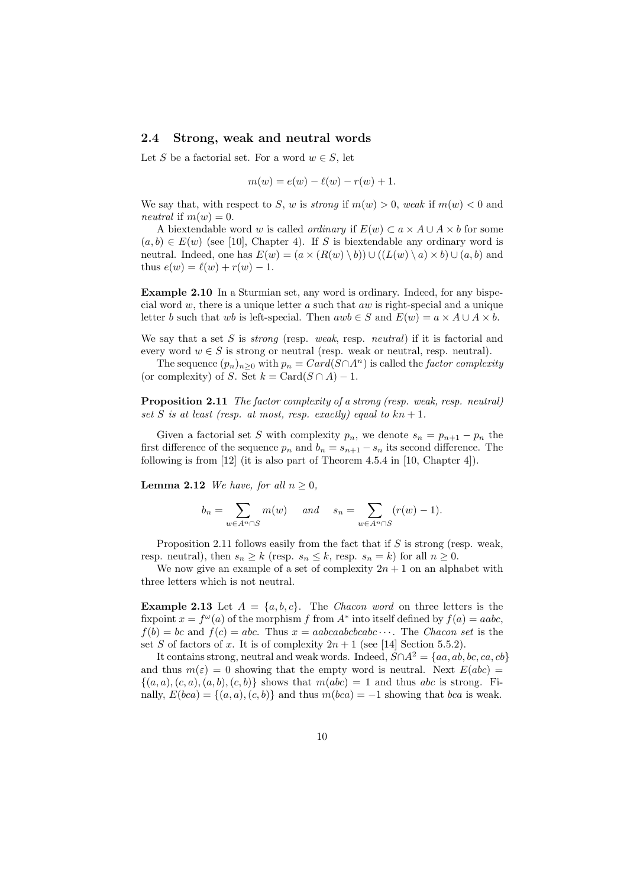#### 2.4 Strong, weak and neutral words

Let S be a factorial set. For a word  $w \in S$ , let

$$
m(w) = e(w) - \ell(w) - r(w) + 1.
$$

We say that, with respect to S, w is strong if  $m(w) > 0$ , weak if  $m(w) < 0$  and neutral if  $m(w) = 0$ .

A biextendable word w is called *ordinary* if  $E(w) \subset a \times A \cup A \times b$  for some  $(a, b) \in E(w)$  (see [10], Chapter 4). If S is biextendable any ordinary word is neutral. Indeed, one has  $E(w) = (a \times (R(w) \setminus b)) \cup ((L(w) \setminus a) \times b) \cup (a, b)$  and thus  $e(w) = \ell(w) + r(w) - 1$ .

Example 2.10 In a Sturmian set, any word is ordinary. Indeed, for any bispecial word  $w$ , there is a unique letter  $a$  such that  $aw$  is right-special and a unique letter b such that wb is left-special. Then  $awb \in S$  and  $E(w) = a \times A \cup A \times b$ .

We say that a set  $S$  is *strong* (resp. *weak*, resp. *neutral*) if it is factorial and every word  $w \in S$  is strong or neutral (resp. weak or neutral, resp. neutral).

The sequence  $(p_n)_{n\geq 0}$  with  $p_n = Card(S \cap A^n)$  is called the *factor complexity* (or complexity) of S. Set  $k = \text{Card}(S \cap A) - 1$ .

Proposition 2.11 The factor complexity of a strong (resp. weak, resp. neutral) set S is at least (resp. at most, resp. exactly) equal to  $kn + 1$ .

Given a factorial set S with complexity  $p_n$ , we denote  $s_n = p_{n+1} - p_n$  the first difference of the sequence  $p_n$  and  $b_n = s_{n+1} - s_n$  its second difference. The following is from [12] (it is also part of Theorem 4.5.4 in [10, Chapter 4]).

**Lemma 2.12** We have, for all  $n \geq 0$ ,

$$
b_n = \sum_{w \in A^n \cap S} m(w) \quad \text{and} \quad s_n = \sum_{w \in A^n \cap S} (r(w) - 1).
$$

Proposition 2.11 follows easily from the fact that if  $S$  is strong (resp. weak, resp. neutral), then  $s_n \geq k$  (resp.  $s_n \leq k$ , resp.  $s_n = k$ ) for all  $n \geq 0$ .

We now give an example of a set of complexity  $2n + 1$  on an alphabet with three letters which is not neutral.

**Example 2.13** Let  $A = \{a, b, c\}$ . The Chacon word on three letters is the fixpoint  $x = f^{\omega}(a)$  of the morphism f from  $A^*$  into itself defined by  $f(a) = aabc$ ,  $f(b) = bc$  and  $f(c) = abc$ . Thus  $x = aabcaabcbcab \cdots$ . The Chacon set is the set S of factors of x. It is of complexity  $2n + 1$  (see [14] Section 5.5.2).

It contains strong, neutral and weak words. Indeed,  $S \cap A^2 = \{aa, ab, bc, ca, cb\}$ and thus  $m(\varepsilon) = 0$  showing that the empty word is neutral. Next  $E(abc) =$  $\{(a, a), (c, a), (a, b), (c, b)\}\)$  shows that  $m(abc) = 1$  and thus abc is strong. Finally,  $E(bca) = \{(a, a), (c, b)\}\$ and thus  $m(bca) = -1$  showing that bca is weak.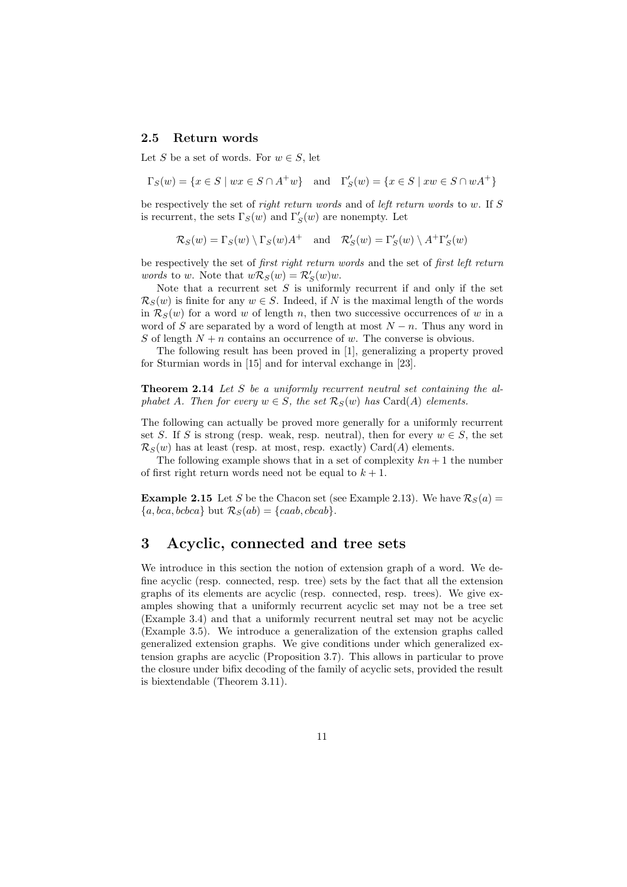#### 2.5 Return words

Let S be a set of words. For  $w \in S$ , let

$$
\Gamma_S(w) = \{ x \in S \mid wx \in S \cap A^+w \} \quad \text{and} \quad \Gamma'_S(w) = \{ x \in S \mid xw \in S \cap wA^+ \}
$$

be respectively the set of right return words and of left return words to w. If S is recurrent, the sets  $\Gamma_S(w)$  and  $\Gamma'_S(w)$  are nonempty. Let

$$
\mathcal{R}_S(w) = \Gamma_S(w) \setminus \Gamma_S(w) A^+
$$
 and  $\mathcal{R}'_S(w) = \Gamma'_S(w) \setminus A^+ \Gamma'_S(w)$ 

be respectively the set of first right return words and the set of first left return *words* to *w*. Note that  $w\mathcal{R}_S(w) = \mathcal{R}'_S(w)w$ .

Note that a recurrent set  $S$  is uniformly recurrent if and only if the set  $\mathcal{R}_S(w)$  is finite for any  $w \in S$ . Indeed, if N is the maximal length of the words in  $\mathcal{R}_S(w)$  for a word w of length n, then two successive occurrences of w in a word of S are separated by a word of length at most  $N - n$ . Thus any word in S of length  $N + n$  contains an occurrence of w. The converse is obvious.

The following result has been proved in [1], generalizing a property proved for Sturmian words in [15] and for interval exchange in [23].

Theorem 2.14 Let S be a uniformly recurrent neutral set containing the alphabet A. Then for every  $w \in S$ , the set  $\mathcal{R}_S(w)$  has Card(A) elements.

The following can actually be proved more generally for a uniformly recurrent set S. If S is strong (resp. weak, resp. neutral), then for every  $w \in S$ , the set  $\mathcal{R}_S(w)$  has at least (resp. at most, resp. exactly) Card(A) elements.

The following example shows that in a set of complexity  $kn + 1$  the number of first right return words need not be equal to  $k + 1$ .

**Example 2.15** Let S be the Chacon set (see Example 2.13). We have  $\mathcal{R}_S(a)$  =  ${a, bca, bcbca}$  but  $\mathcal{R}_S(ab) = {caab, bcaab}.$ 

### 3 Acyclic, connected and tree sets

We introduce in this section the notion of extension graph of a word. We define acyclic (resp. connected, resp. tree) sets by the fact that all the extension graphs of its elements are acyclic (resp. connected, resp. trees). We give examples showing that a uniformly recurrent acyclic set may not be a tree set (Example 3.4) and that a uniformly recurrent neutral set may not be acyclic (Example 3.5). We introduce a generalization of the extension graphs called generalized extension graphs. We give conditions under which generalized extension graphs are acyclic (Proposition 3.7). This allows in particular to prove the closure under bifix decoding of the family of acyclic sets, provided the result is biextendable (Theorem 3.11).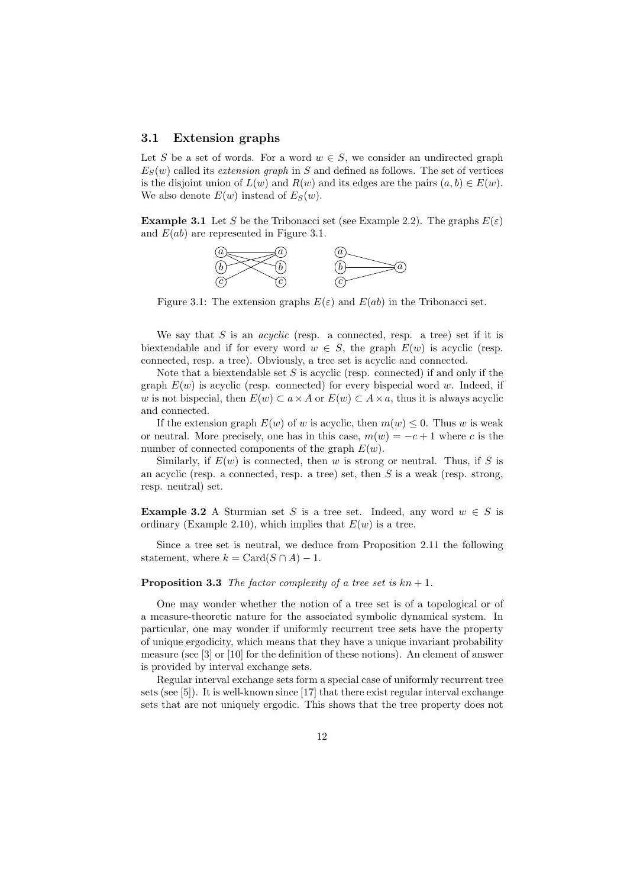#### 3.1 Extension graphs

Let S be a set of words. For a word  $w \in S$ , we consider an undirected graph  $E<sub>S</sub>(w)$  called its *extension graph* in S and defined as follows. The set of vertices is the disjoint union of  $L(w)$  and  $R(w)$  and its edges are the pairs  $(a, b) \in E(w)$ . We also denote  $E(w)$  instead of  $E<sub>S</sub>(w)$ .

**Example 3.1** Let S be the Tribonacci set (see Example 2.2). The graphs  $E(\varepsilon)$ and  $E(ab)$  are represented in Figure 3.1.



Figure 3.1: The extension graphs  $E(\varepsilon)$  and  $E(ab)$  in the Tribonacci set.

We say that S is an *acyclic* (resp. a connected, resp. a tree) set if it is biextendable and if for every word  $w \in S$ , the graph  $E(w)$  is acyclic (resp. connected, resp. a tree). Obviously, a tree set is acyclic and connected.

Note that a biextendable set  $S$  is acyclic (resp. connected) if and only if the graph  $E(w)$  is acyclic (resp. connected) for every bispecial word w. Indeed, if w is not bispecial, then  $E(w) \subset a \times A$  or  $E(w) \subset A \times a$ , thus it is always acyclic and connected.

If the extension graph  $E(w)$  of w is acyclic, then  $m(w) \leq 0$ . Thus w is weak or neutral. More precisely, one has in this case,  $m(w) = -c + 1$  where c is the number of connected components of the graph  $E(w)$ .

Similarly, if  $E(w)$  is connected, then w is strong or neutral. Thus, if S is an acyclic (resp. a connected, resp. a tree) set, then  $S$  is a weak (resp. strong, resp. neutral) set.

**Example 3.2** A Sturmian set S is a tree set. Indeed, any word  $w \in S$  is ordinary (Example 2.10), which implies that  $E(w)$  is a tree.

Since a tree set is neutral, we deduce from Proposition 2.11 the following statement, where  $k = \text{Card}(S \cap A) - 1$ .

#### **Proposition 3.3** The factor complexity of a tree set is  $kn + 1$ .

One may wonder whether the notion of a tree set is of a topological or of a measure-theoretic nature for the associated symbolic dynamical system. In particular, one may wonder if uniformly recurrent tree sets have the property of unique ergodicity, which means that they have a unique invariant probability measure (see [3] or [10] for the definition of these notions). An element of answer is provided by interval exchange sets.

Regular interval exchange sets form a special case of uniformly recurrent tree sets (see [5]). It is well-known since [17] that there exist regular interval exchange sets that are not uniquely ergodic. This shows that the tree property does not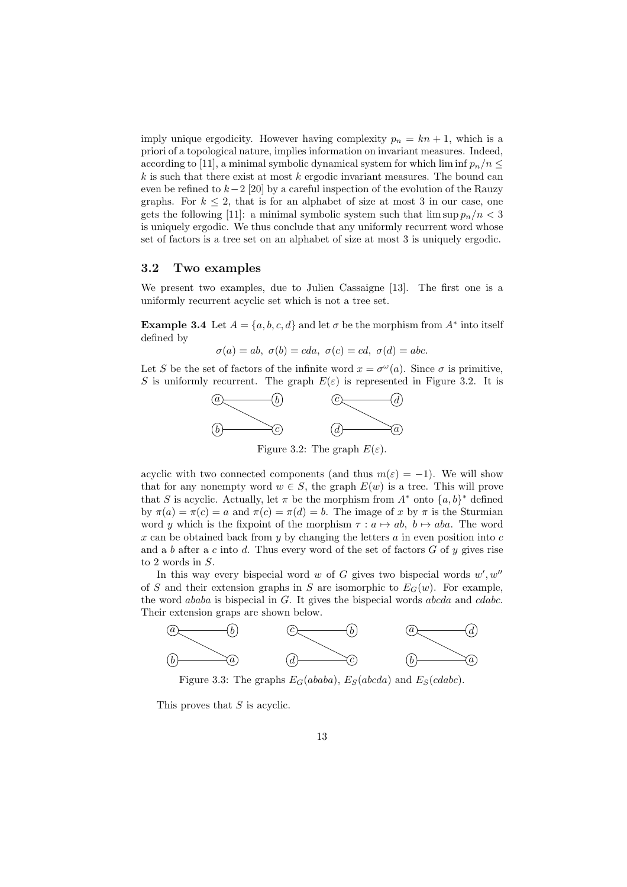imply unique ergodicity. However having complexity  $p_n = kn + 1$ , which is a priori of a topological nature, implies information on invariant measures. Indeed, according to [11], a minimal symbolic dynamical system for which lim inf  $p_n/n \leq$  $k$  is such that there exist at most  $k$  ergodic invariant measures. The bound can even be refined to  $k-2$  [20] by a careful inspection of the evolution of the Rauzy graphs. For  $k \leq 2$ , that is for an alphabet of size at most 3 in our case, one gets the following [11]: a minimal symbolic system such that  $\limsup p_n/n < 3$ is uniquely ergodic. We thus conclude that any uniformly recurrent word whose set of factors is a tree set on an alphabet of size at most 3 is uniquely ergodic.

#### 3.2 Two examples

We present two examples, due to Julien Cassaigne [13]. The first one is a uniformly recurrent acyclic set which is not a tree set.

**Example 3.4** Let  $A = \{a, b, c, d\}$  and let  $\sigma$  be the morphism from  $A^*$  into itself defined by

$$
\sigma(a) = ab, \ \sigma(b) = cda, \ \sigma(c) = cd, \ \sigma(d) = abc.
$$

Let S be the set of factors of the infinite word  $x = \sigma^{\omega}(a)$ . Since  $\sigma$  is primitive, S is uniformly recurrent. The graph  $E(\varepsilon)$  is represented in Figure 3.2. It is



acyclic with two connected components (and thus  $m(\varepsilon) = -1$ ). We will show that for any nonempty word  $w \in S$ , the graph  $E(w)$  is a tree. This will prove that S is acyclic. Actually, let  $\pi$  be the morphism from  $A^*$  onto  $\{a, b\}^*$  defined by  $\pi(a) = \pi(c) = a$  and  $\pi(c) = \pi(d) = b$ . The image of x by  $\pi$  is the Sturmian word y which is the fixpoint of the morphism  $\tau : a \mapsto ab$ ,  $b \mapsto aba$ . The word x can be obtained back from y by changing the letters  $a$  in even position into  $c$ and a b after a c into d. Thus every word of the set of factors  $G$  of  $y$  gives rise to 2 words in S.

In this way every bispecial word  $w$  of  $G$  gives two bispecial words  $w', w''$ of S and their extension graphs in S are isomorphic to  $E_G(w)$ . For example, the word ababa is bispecial in G. It gives the bispecial words abcda and cdabc. Their extension graps are shown below.



Figure 3.3: The graphs  $E_G(ababa)$ ,  $E_S(abcda)$  and  $E_S(cdabc)$ .

This proves that S is acyclic.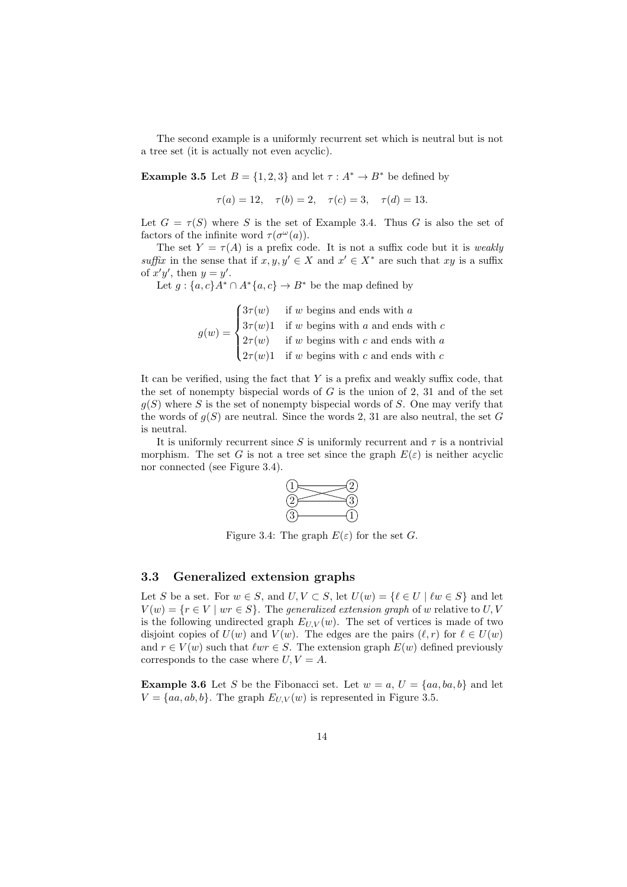The second example is a uniformly recurrent set which is neutral but is not a tree set (it is actually not even acyclic).

**Example 3.5** Let  $B = \{1, 2, 3\}$  and let  $\tau : A^* \to B^*$  be defined by

$$
\tau(a) = 12, \quad \tau(b) = 2, \quad \tau(c) = 3, \quad \tau(d) = 13.
$$

Let  $G = \tau(S)$  where S is the set of Example 3.4. Thus G is also the set of factors of the infinite word  $\tau(\sigma^{\omega}(a))$ .

The set  $Y = \tau(A)$  is a prefix code. It is not a suffix code but it is *weakly* suffix in the sense that if  $x, y, y' \in X$  and  $x' \in X^*$  are such that  $xy$  is a suffix of  $x'y'$ , then  $y = y'$ .

Let  $g: \{a, c\}A^* \cap A^*\{a, c\} \to B^*$  be the map defined by

$$
g(w) = \begin{cases} 3\tau(w) & \text{if } w \text{ begins and ends with } a \\ 3\tau(w)1 & \text{if } w \text{ begins with } a \text{ and ends with } c \\ 2\tau(w) & \text{if } w \text{ begins with } c \text{ and ends with } a \\ 2\tau(w)1 & \text{if } w \text{ begins with } c \text{ and ends with } c \end{cases}
$$

It can be verified, using the fact that  $Y$  is a prefix and weakly suffix code, that the set of nonempty bispecial words of  $G$  is the union of 2, 31 and of the set  $g(S)$  where S is the set of nonempty bispecial words of S. One may verify that the words of  $g(S)$  are neutral. Since the words 2, 31 are also neutral, the set G is neutral.

It is uniformly recurrent since S is uniformly recurrent and  $\tau$  is a nontrivial morphism. The set G is not a tree set since the graph  $E(\varepsilon)$  is neither acyclic nor connected (see Figure 3.4).



Figure 3.4: The graph  $E(\varepsilon)$  for the set G.

#### 3.3 Generalized extension graphs

Let S be a set. For  $w \in S$ , and  $U, V \subset S$ , let  $U(w) = \{ \ell \in U \mid \ell w \in S \}$  and let  $V(w) = \{r \in V \mid wr \in S\}$ . The generalized extension graph of w relative to U, V is the following undirected graph  $E_{U,V}(w)$ . The set of vertices is made of two disjoint copies of  $U(w)$  and  $V(w)$ . The edges are the pairs  $(\ell, r)$  for  $\ell \in U(w)$ and  $r \in V(w)$  such that  $\ell w r \in S$ . The extension graph  $E(w)$  defined previously corresponds to the case where  $U, V = A$ .

**Example 3.6** Let S be the Fibonacci set. Let  $w = a, U = \{aa, ba, b\}$  and let  $V = \{aa, ab, b\}$ . The graph  $E_{UV}(w)$  is represented in Figure 3.5.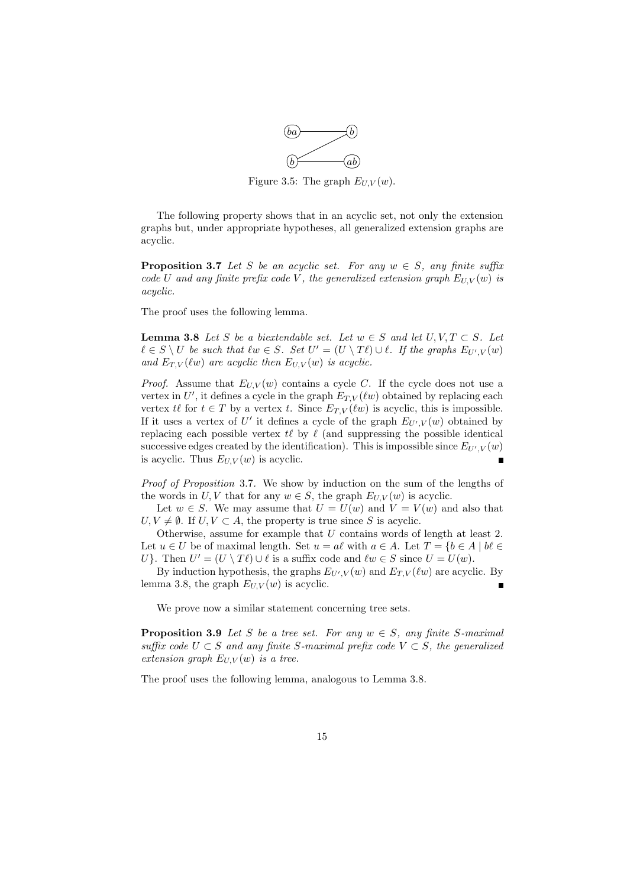

Figure 3.5: The graph  $E_{U,V}(w)$ .

The following property shows that in an acyclic set, not only the extension graphs but, under appropriate hypotheses, all generalized extension graphs are acyclic.

**Proposition 3.7** Let S be an acyclic set. For any  $w \in S$ , any finite suffix code U and any finite prefix code V, the generalized extension graph  $E_{U,V}(w)$  is acyclic.

The proof uses the following lemma.

**Lemma 3.8** Let S be a biextendable set. Let  $w \in S$  and let  $U, V, T \subset S$ . Let  $\ell \in S \setminus U$  be such that  $\ell w \in S$ . Set  $U' = (U \setminus T\ell) \cup \ell$ . If the graphs  $E_{U',V}(w)$ and  $E_{T,V}(\ell w)$  are acyclic then  $E_{U,V}(w)$  is acyclic.

*Proof.* Assume that  $E_{U,V}(w)$  contains a cycle C. If the cycle does not use a vertex in U', it defines a cycle in the graph  $E_{T,V}(\ell w)$  obtained by replacing each vertex  $t\ell$  for  $t \in T$  by a vertex t. Since  $E_{T,V}(\ell w)$  is acyclic, this is impossible. If it uses a vertex of U' it defines a cycle of the graph  $E_{U',V}(w)$  obtained by replacing each possible vertex  $t\ell$  by  $\ell$  (and suppressing the possible identical successive edges created by the identification). This is impossible since  $E_{U',V}(w)$ is acyclic. Thus  $E_{U,V}(w)$  is acyclic.

Proof of Proposition 3.7. We show by induction on the sum of the lengths of the words in U, V that for any  $w \in S$ , the graph  $E_{U,V}(w)$  is acyclic.

Let  $w \in S$ . We may assume that  $U = U(w)$  and  $V = V(w)$  and also that  $U, V \neq \emptyset$ . If  $U, V \subset A$ , the property is true since S is acyclic.

Otherwise, assume for example that U contains words of length at least 2. Let  $u \in U$  be of maximal length. Set  $u = a\ell$  with  $a \in A$ . Let  $T = \{b \in A \mid b\ell \in A\}$ U}. Then  $U' = (U \setminus T\ell) \cup \ell$  is a suffix code and  $\ell w \in S$  since  $U = U(w)$ .

By induction hypothesis, the graphs  $E_{U',V}(w)$  and  $E_{T,V}(\ell w)$  are acyclic. By lemma 3.8, the graph  $E_{U,V}(w)$  is acyclic.

We prove now a similar statement concerning tree sets.

**Proposition 3.9** Let S be a tree set. For any  $w \in S$ , any finite S-maximal suffix code  $U \subset S$  and any finite S-maximal prefix code  $V \subset S$ , the generalized extension graph  $E_{U,V}(w)$  is a tree.

The proof uses the following lemma, analogous to Lemma 3.8.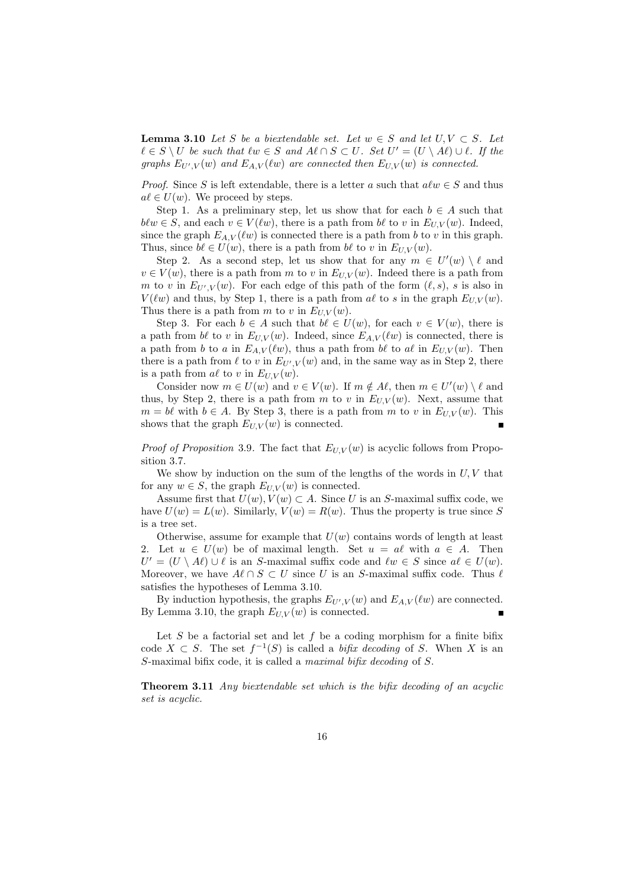**Lemma 3.10** Let S be a biextendable set. Let  $w \in S$  and let  $U, V \subset S$ . Let  $\ell \in S \setminus U$  be such that  $\ell w \in S$  and  $A\ell \cap S \subset U$ . Set  $U' = (U \setminus A\ell) \cup \ell$ . If the graphs  $E_{U',V}(w)$  and  $E_{A,V}(w)$  are connected then  $E_{U,V}(w)$  is connected.

*Proof.* Since S is left extendable, there is a letter a such that  $a \ell w \in S$  and thus  $a\ell \in U(w)$ . We proceed by steps.

Step 1. As a preliminary step, let us show that for each  $b \in A$  such that  $b\ell w \in S$ , and each  $v \in V(\ell w)$ , there is a path from  $b\ell$  to v in  $E_{U,V}(w)$ . Indeed, since the graph  $E_{A,V}(\ell w)$  is connected there is a path from b to v in this graph. Thus, since  $b\ell \in U(w)$ , there is a path from  $b\ell$  to v in  $E_{U,V}(w)$ .

Step 2. As a second step, let us show that for any  $m \in U'(w) \setminus \ell$  and  $v \in V(w)$ , there is a path from m to v in  $E_{U,V}(w)$ . Indeed there is a path from m to v in  $E_{U',V}(w)$ . For each edge of this path of the form  $(\ell, s)$ , s is also in  $V(\ell w)$  and thus, by Step 1, there is a path from a $\ell$  to s in the graph  $E_{UV}(w)$ . Thus there is a path from m to v in  $E_{U,V}(w)$ .

Step 3. For each  $b \in A$  such that  $b\ell \in U(w)$ , for each  $v \in V(w)$ , there is a path from bℓ to v in  $E_{U,V}(w)$ . Indeed, since  $E_{A,V}(\ell w)$  is connected, there is a path from b to a in  $E_{A,V}(\ell w)$ , thus a path from b $\ell$  to all in  $E_{U,V}(w)$ . Then there is a path from  $\ell$  to v in  $E_{U',V}(w)$  and, in the same way as in Step 2, there is a path from  $a\ell$  to v in  $E_{U,V}(w)$ .

Consider now  $m \in U(w)$  and  $v \in V(w)$ . If  $m \notin A\ell$ , then  $m \in U'(w) \setminus \ell$  and thus, by Step 2, there is a path from m to v in  $E_{UV}(w)$ . Next, assume that  $m = b\ell$  with  $b \in A$ . By Step 3, there is a path from m to v in  $E_{U,V}(w)$ . This shows that the graph  $E_{U,V}(w)$  is connected.

*Proof of Proposition* 3.9. The fact that  $E_{U,V}(w)$  is acyclic follows from Proposition 3.7.

We show by induction on the sum of the lengths of the words in  $U, V$  that for any  $w \in S$ , the graph  $E_{U,V}(w)$  is connected.

Assume first that  $U(w), V(w) \subset A$ . Since U is an S-maximal suffix code, we have  $U(w) = L(w)$ . Similarly,  $V(w) = R(w)$ . Thus the property is true since S is a tree set.

Otherwise, assume for example that  $U(w)$  contains words of length at least Let  $u \in U(w)$  be of maximal length. Set  $u = a\ell$  with  $a \in A$ . Then  $U' = (U \setminus A\ell) \cup \ell$  is an S-maximal suffix code and  $\ell w \in S$  since  $a\ell \in U(w)$ . Moreover, we have  $A\ell \cap S \subset U$  since U is an S-maximal suffix code. Thus  $\ell$ satisfies the hypotheses of Lemma 3.10.

By induction hypothesis, the graphs  $E_{U',V}(w)$  and  $E_{A,V}(\ell w)$  are connected. By Lemma 3.10, the graph  $E_{U,V}(w)$  is connected. п

Let  $S$  be a factorial set and let  $f$  be a coding morphism for a finite bifix code  $X \subset S$ . The set  $f^{-1}(S)$  is called a *bifix decoding* of S. When X is an S-maximal bifix code, it is called a maximal bifix decoding of S.

Theorem 3.11 Any biextendable set which is the bifix decoding of an acyclic set is acyclic.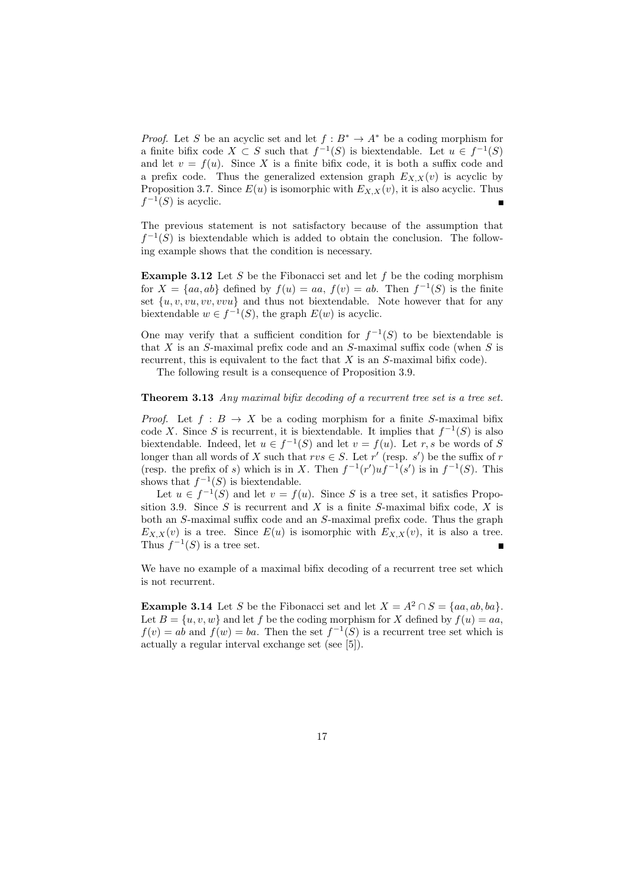*Proof.* Let S be an acyclic set and let  $f : B^* \to A^*$  be a coding morphism for a finite bifix code  $X \subset S$  such that  $f^{-1}(S)$  is biextendable. Let  $u \in f^{-1}(S)$ and let  $v = f(u)$ . Since X is a finite bifix code, it is both a suffix code and a prefix code. Thus the generalized extension graph  $E_{X,X}(v)$  is acyclic by Proposition 3.7. Since  $E(u)$  is isomorphic with  $E_{X,X}(v)$ , it is also acyclic. Thus  $f^{-1}(S)$  is acyclic.

The previous statement is not satisfactory because of the assumption that  $f^{-1}(S)$  is biextendable which is added to obtain the conclusion. The following example shows that the condition is necessary.

**Example 3.12** Let S be the Fibonacci set and let f be the coding morphism for  $X = \{aa, ab\}$  defined by  $f(u) = aa, f(v) = ab$ . Then  $f^{-1}(S)$  is the finite set  $\{u, v, vu, vv, vvu\}$  and thus not biextendable. Note however that for any biextendable  $w \in f^{-1}(S)$ , the graph  $E(w)$  is acyclic.

One may verify that a sufficient condition for  $f^{-1}(S)$  to be biextendable is that  $X$  is an  $S$ -maximal prefix code and an  $S$ -maximal suffix code (when  $S$  is recurrent, this is equivalent to the fact that  $X$  is an  $S$ -maximal bifix code).

The following result is a consequence of Proposition 3.9.

#### Theorem 3.13 Any maximal bifix decoding of a recurrent tree set is a tree set.

*Proof.* Let  $f : B \to X$  be a coding morphism for a finite S-maximal bifix code X. Since S is recurrent, it is biextendable. It implies that  $f^{-1}(S)$  is also biextendable. Indeed, let  $u \in f^{-1}(S)$  and let  $v = f(u)$ . Let r, s be words of S longer than all words of X such that  $rvs \in S$ . Let  $r'$  (resp. s') be the suffix of r (resp. the prefix of s) which is in X. Then  $f^{-1}(r')uf^{-1}(s')$  is in  $f^{-1}(S)$ . This shows that  $f^{-1}(S)$  is biextendable.

Let  $u \in f^{-1}(S)$  and let  $v = f(u)$ . Since S is a tree set, it satisfies Proposition 3.9. Since  $S$  is recurrent and  $X$  is a finite  $S$ -maximal bifix code,  $X$  is both an S-maximal suffix code and an S-maximal prefix code. Thus the graph  $E_{X,X}(v)$  is a tree. Since  $E(u)$  is isomorphic with  $E_{X,X}(v)$ , it is also a tree. Thus  $f^{-1}(S)$  is a tree set.

We have no example of a maximal bifix decoding of a recurrent tree set which is not recurrent.

**Example 3.14** Let S be the Fibonacci set and let  $X = A^2 \cap S = \{aa, ab, ba\}.$ Let  $B = \{u, v, w\}$  and let f be the coding morphism for X defined by  $f(u) = aa$ ,  $f(v) = ab$  and  $f(w) = ba$ . Then the set  $f^{-1}(S)$  is a recurrent tree set which is actually a regular interval exchange set (see [5]).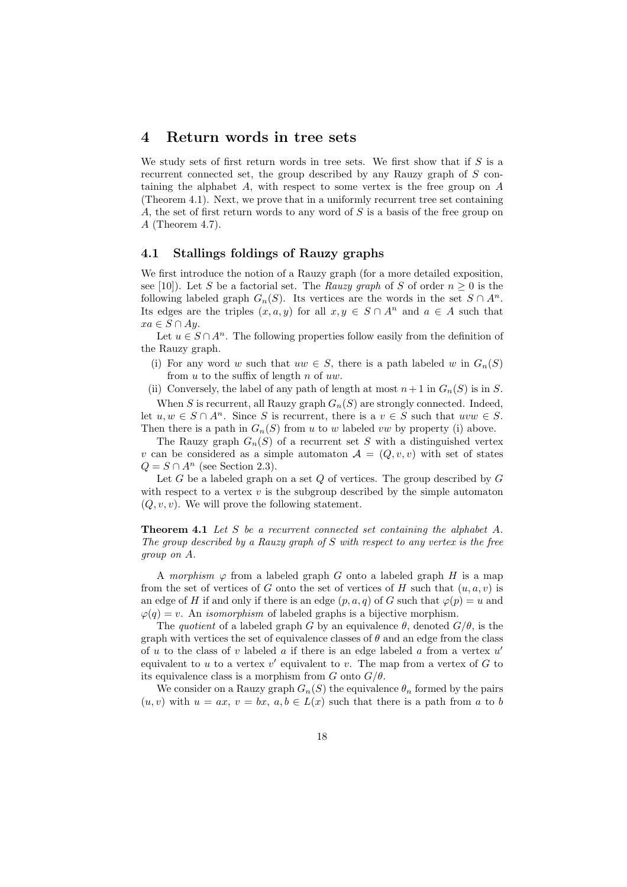### 4 Return words in tree sets

We study sets of first return words in tree sets. We first show that if  $S$  is a recurrent connected set, the group described by any Rauzy graph of S containing the alphabet A, with respect to some vertex is the free group on A (Theorem 4.1). Next, we prove that in a uniformly recurrent tree set containing A, the set of first return words to any word of  $S$  is a basis of the free group on A (Theorem 4.7).

#### 4.1 Stallings foldings of Rauzy graphs

We first introduce the notion of a Rauzy graph (for a more detailed exposition, see [10]). Let S be a factorial set. The Rauzy graph of S of order  $n \geq 0$  is the following labeled graph  $G_n(S)$ . Its vertices are the words in the set  $S \cap A^n$ . Its edges are the triples  $(x, a, y)$  for all  $x, y \in S \cap A^n$  and  $a \in A$  such that  $xa \in S \cap Ay.$ 

Let  $u \in S \cap A^n$ . The following properties follow easily from the definition of the Rauzy graph.

(i) For any word w such that  $uw \in S$ , there is a path labeled w in  $G_n(S)$ from  $u$  to the suffix of length  $n$  of  $uw$ .

(ii) Conversely, the label of any path of length at most  $n+1$  in  $G_n(S)$  is in S.

When S is recurrent, all Rauzy graph  $G_n(S)$  are strongly connected. Indeed, let  $u, w \in S \cap A^n$ . Since S is recurrent, there is a  $v \in S$  such that  $uvw \in S$ . Then there is a path in  $G_n(S)$  from u to w labeled vw by property (i) above.

The Rauzy graph  $G_n(S)$  of a recurrent set S with a distinguished vertex v can be considered as a simple automaton  $A = (Q, v, v)$  with set of states  $Q = S \cap A^{n}$  (see Section 2.3).

Let G be a labeled graph on a set Q of vertices. The group described by  $G$ with respect to a vertex  $v$  is the subgroup described by the simple automaton  $(Q, v, v)$ . We will prove the following statement.

Theorem 4.1 Let S be a recurrent connected set containing the alphabet A. The group described by a Rauzy graph of S with respect to any vertex is the free group on A.

A morphism  $\varphi$  from a labeled graph G onto a labeled graph H is a map from the set of vertices of G onto the set of vertices of H such that  $(u, a, v)$  is an edge of H if and only if there is an edge  $(p, a, q)$  of G such that  $\varphi(p) = u$  and  $\varphi(q) = v$ . An *isomorphism* of labeled graphs is a bijective morphism.

The quotient of a labeled graph G by an equivalence  $\theta$ , denoted  $G/\theta$ , is the graph with vertices the set of equivalence classes of  $\theta$  and an edge from the class of  $u$  to the class of  $v$  labeled  $a$  if there is an edge labeled  $a$  from a vertex  $u'$ equivalent to  $u$  to a vertex  $v'$  equivalent to  $v$ . The map from a vertex of  $G$  to its equivalence class is a morphism from G onto  $G/\theta$ .

We consider on a Rauzy graph  $G_n(S)$  the equivalence  $\theta_n$  formed by the pairs  $(u, v)$  with  $u = ax, v = bx, a, b \in L(x)$  such that there is a path from a to b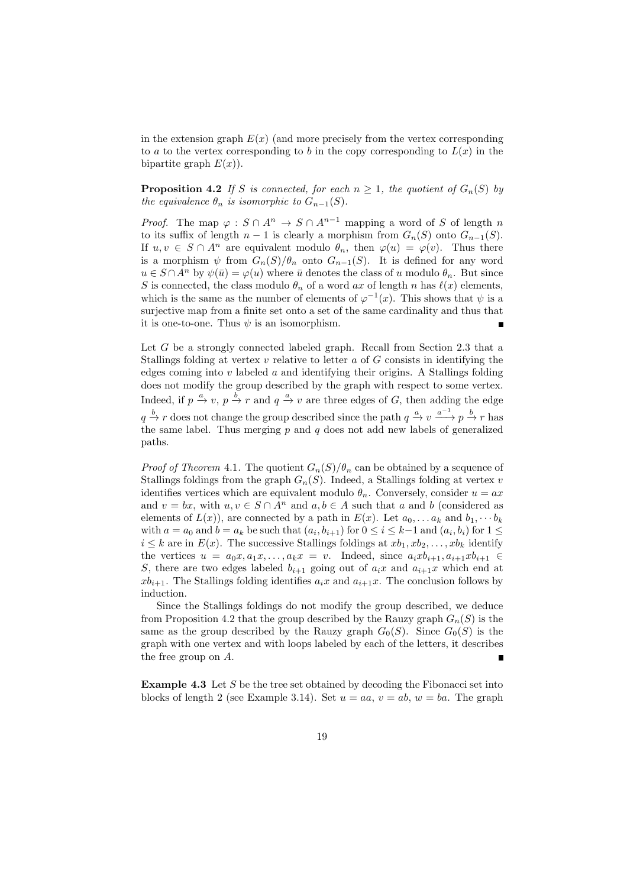in the extension graph  $E(x)$  (and more precisely from the vertex corresponding to a to the vertex corresponding to b in the copy corresponding to  $L(x)$  in the bipartite graph  $E(x)$ ).

**Proposition 4.2** If S is connected, for each  $n \geq 1$ , the quotient of  $G_n(S)$  by the equivalence  $\theta_n$  is isomorphic to  $G_{n-1}(S)$ .

*Proof.* The map  $\varphi : S \cap A^n \to S \cap A^{n-1}$  mapping a word of S of length n to its suffix of length  $n-1$  is clearly a morphism from  $G_n(S)$  onto  $G_{n-1}(S)$ . If  $u, v \in S \cap A^n$  are equivalent modulo  $\theta_n$ , then  $\varphi(u) = \varphi(v)$ . Thus there is a morphism  $\psi$  from  $G_n(S)/\theta_n$  onto  $G_{n-1}(S)$ . It is defined for any word  $u \in S \cap A^n$  by  $\psi(\bar{u}) = \varphi(u)$  where  $\bar{u}$  denotes the class of u modulo  $\theta_n$ . But since S is connected, the class modulo  $\theta_n$  of a word ax of length n has  $\ell(x)$  elements, which is the same as the number of elements of  $\varphi^{-1}(x)$ . This shows that  $\psi$  is a surjective map from a finite set onto a set of the same cardinality and thus that it is one-to-one. Thus  $\psi$  is an isomorphism.

Let  $G$  be a strongly connected labeled graph. Recall from Section 2.3 that a Stallings folding at vertex  $v$  relative to letter  $a$  of  $G$  consists in identifying the edges coming into  $v$  labeled  $a$  and identifying their origins. A Stallings folding does not modify the group described by the graph with respect to some vertex. Indeed, if  $p \stackrel{a}{\to} v$ ,  $p \stackrel{b}{\to} r$  and  $q \stackrel{a}{\to} v$  are three edges of G, then adding the edge  $q \stackrel{b}{\to} r$  does not change the group described since the path  $q \stackrel{a}{\to} v \stackrel{a^{-1}}{\longrightarrow} p \stackrel{b}{\to} r$  has the same label. Thus merging  $p$  and  $q$  does not add new labels of generalized paths.

*Proof of Theorem 4.1.* The quotient  $G_n(S)/\theta_n$  can be obtained by a sequence of Stallings foldings from the graph  $G_n(S)$ . Indeed, a Stallings folding at vertex v identifies vertices which are equivalent modulo  $\theta_n$ . Conversely, consider  $u = ax$ and  $v = bx$ , with  $u, v \in S \cap A^n$  and  $a, b \in A$  such that a and b (considered as elements of  $L(x)$ , are connected by a path in  $E(x)$ . Let  $a_0, \ldots a_k$  and  $b_1, \cdots b_k$ with  $a = a_0$  and  $b = a_k$  be such that  $(a_i, b_{i+1})$  for  $0 \le i \le k-1$  and  $(a_i, b_i)$  for  $1 \le k-1$  $i \leq k$  are in  $E(x)$ . The successive Stallings foldings at  $xb_1, xb_2, \ldots, xb_k$  identify the vertices  $u = a_0x, a_1x, \ldots, a_kx = v$ . Indeed, since  $a_ixb_{i+1}, a_{i+1}xb_{i+1} \in$ S, there are two edges labeled  $b_{i+1}$  going out of  $a_i x$  and  $a_{i+1} x$  which end at  $xb_{i+1}$ . The Stallings folding identifies  $a_i x$  and  $a_{i+1} x$ . The conclusion follows by induction.

Since the Stallings foldings do not modify the group described, we deduce from Proposition 4.2 that the group described by the Rauzy graph  $G_n(S)$  is the same as the group described by the Rauzy graph  $G_0(S)$ . Since  $G_0(S)$  is the graph with one vertex and with loops labeled by each of the letters, it describes the free group on A.

**Example 4.3** Let  $S$  be the tree set obtained by decoding the Fibonacci set into blocks of length 2 (see Example 3.14). Set  $u = aa, v = ab, w = ba$ . The graph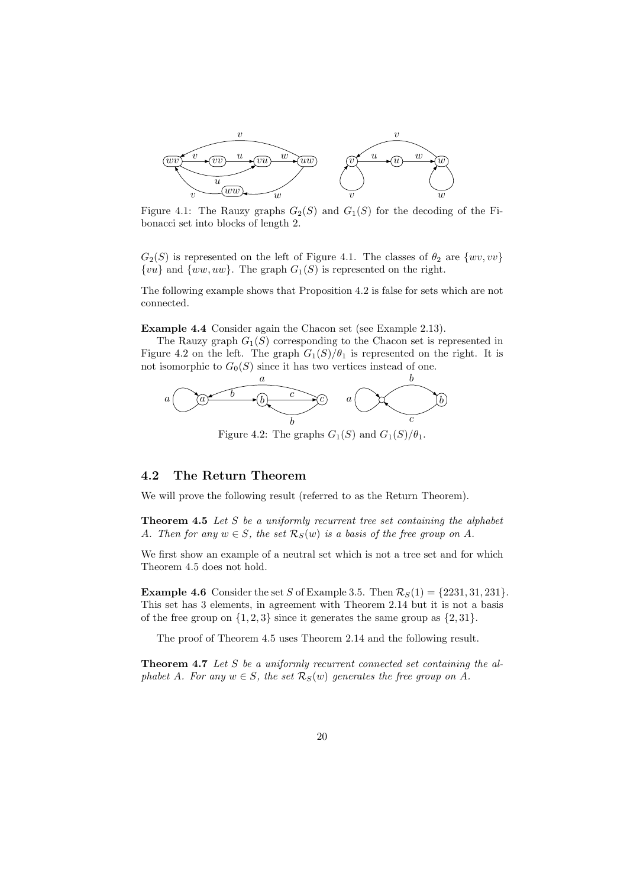

Figure 4.1: The Rauzy graphs  $G_2(S)$  and  $G_1(S)$  for the decoding of the Fibonacci set into blocks of length 2.

 $G_2(S)$  is represented on the left of Figure 4.1. The classes of  $\theta_2$  are  $\{wv, vv\}$  $\{vu\}$  and  $\{ww, uw\}$ . The graph  $G_1(S)$  is represented on the right.

The following example shows that Proposition 4.2 is false for sets which are not connected.

Example 4.4 Consider again the Chacon set (see Example 2.13).

The Rauzy graph  $G_1(S)$  corresponding to the Chacon set is represented in Figure 4.2 on the left. The graph  $G_1(S)/\theta_1$  is represented on the right. It is not isomorphic to  $G_0(S)$  since it has two vertices instead of one.



Figure 4.2: The graphs  $G_1(S)$  and  $G_1(S)/\theta_1$ .

### 4.2 The Return Theorem

We will prove the following result (referred to as the Return Theorem).

**Theorem 4.5** Let  $S$  be a uniformly recurrent tree set containing the alphabet A. Then for any  $w \in S$ , the set  $\mathcal{R}_S(w)$  is a basis of the free group on A.

We first show an example of a neutral set which is not a tree set and for which Theorem 4.5 does not hold.

**Example 4.6** Consider the set S of Example 3.5. Then  $\mathcal{R}_S(1) = \{2231, 31, 231\}.$ This set has 3 elements, in agreement with Theorem 2.14 but it is not a basis of the free group on  $\{1, 2, 3\}$  since it generates the same group as  $\{2, 31\}$ .

The proof of Theorem 4.5 uses Theorem 2.14 and the following result.

**Theorem 4.7** Let S be a uniformly recurrent connected set containing the alphabet A. For any  $w \in S$ , the set  $\mathcal{R}_S(w)$  generates the free group on A.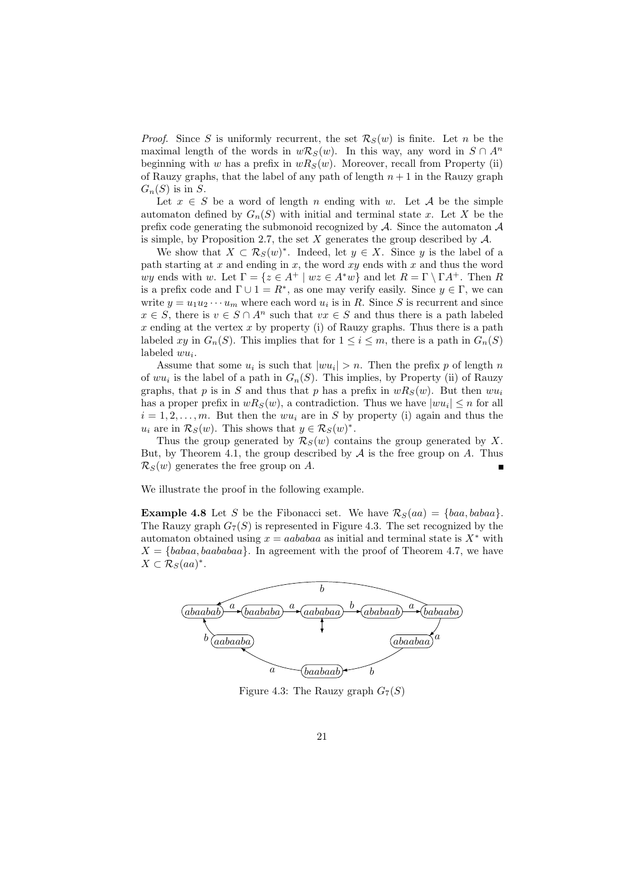*Proof.* Since S is uniformly recurrent, the set  $\mathcal{R}_S(w)$  is finite. Let n be the maximal length of the words in  $w\mathcal{R}_S(w)$ . In this way, any word in  $S \cap A^n$ beginning with w has a prefix in  $wR_S(w)$ . Moreover, recall from Property (ii) of Rauzy graphs, that the label of any path of length  $n + 1$  in the Rauzy graph  $G_n(S)$  is in S.

Let  $x \in S$  be a word of length n ending with w. Let A be the simple automaton defined by  $G_n(S)$  with initial and terminal state x. Let X be the prefix code generating the submonoid recognized by  $\mathcal{A}$ . Since the automaton  $\mathcal{A}$ is simple, by Proposition 2.7, the set  $X$  generates the group described by  $A$ .

We show that  $X \subset \mathcal{R}_S(w)^*$ . Indeed, let  $y \in X$ . Since y is the label of a path starting at  $x$  and ending in  $x$ , the word  $xy$  ends with  $x$  and thus the word wy ends with w. Let  $\Gamma = \{z \in A^+ \mid wz \in A^*w\}$  and let  $R = \Gamma \setminus \Gamma A^+$ . Then R is a prefix code and  $\Gamma \cup 1 = R^*$ , as one may verify easily. Since  $y \in \Gamma$ , we can write  $y = u_1 u_2 \cdots u_m$  where each word  $u_i$  is in R. Since S is recurrent and since  $x \in S$ , there is  $v \in S \cap A^n$  such that  $vx \in S$  and thus there is a path labeled x ending at the vertex x by property (i) of Rauzy graphs. Thus there is a path labeled xy in  $G_n(S)$ . This implies that for  $1 \leq i \leq m$ , there is a path in  $G_n(S)$ labeled  $wu_i$ .

Assume that some  $u_i$  is such that  $|wu_i| > n$ . Then the prefix p of length n of  $wu_i$  is the label of a path in  $G_n(S)$ . This implies, by Property (ii) of Rauzy graphs, that p is in S and thus that p has a prefix in  $wR_S(w)$ . But then  $wu_i$ has a proper prefix in  $wR_S(w)$ , a contradiction. Thus we have  $|wu_i| \leq n$  for all  $i = 1, 2, \ldots, m$ . But then the wu<sub>i</sub> are in S by property (i) again and thus the  $u_i$  are in  $\mathcal{R}_S(w)$ . This shows that  $y \in \mathcal{R}_S(w)^*$ .

Thus the group generated by  $\mathcal{R}_S(w)$  contains the group generated by X. But, by Theorem 4.1, the group described by  $A$  is the free group on  $A$ . Thus  $\mathcal{R}_S(w)$  generates the free group on A.

We illustrate the proof in the following example.

**Example 4.8** Let S be the Fibonacci set. We have  $\mathcal{R}_S(aa) = \{baa, babaa\}.$ The Rauzy graph  $G_7(S)$  is represented in Figure 4.3. The set recognized by the automaton obtained using  $x = aababaa$  as initial and terminal state is  $X^*$  with  $X = \{babaa, baababaa\}$ . In agreement with the proof of Theorem 4.7, we have  $X \subset \mathcal{R}_S(aa)^*.$ 



Figure 4.3: The Rauzy graph  $G_7(S)$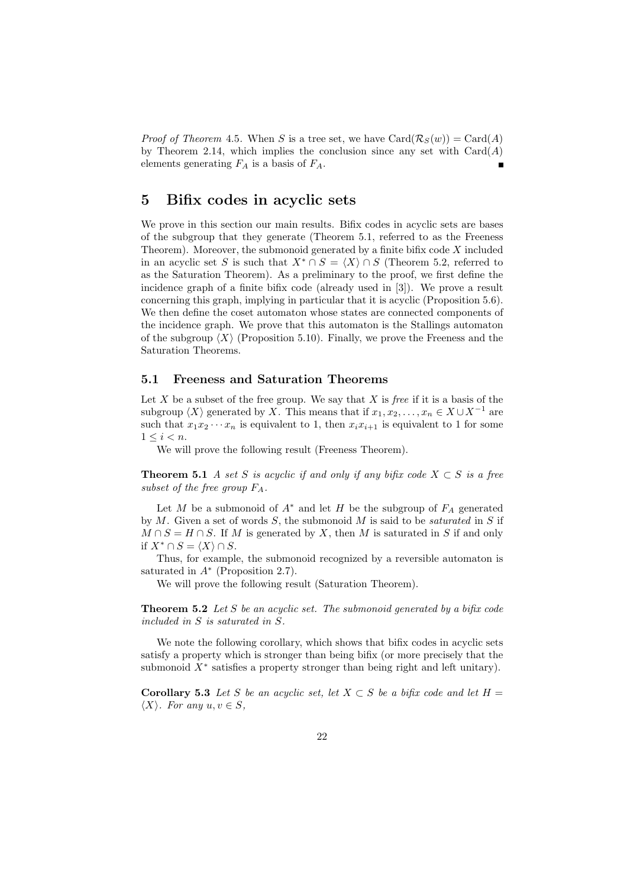*Proof of Theorem* 4.5. When S is a tree set, we have  $Card(R_S(w)) = Card(A)$ by Theorem 2.14, which implies the conclusion since any set with  $Card(A)$ elements generating  $F_A$  is a basis of  $F_A$ .

# 5 Bifix codes in acyclic sets

We prove in this section our main results. Bifix codes in acyclic sets are bases of the subgroup that they generate (Theorem 5.1, referred to as the Freeness Theorem). Moreover, the submonoid generated by a finite bifix code  $X$  included in an acyclic set S is such that  $X^* \cap S = \langle X \rangle \cap S$  (Theorem 5.2, referred to as the Saturation Theorem). As a preliminary to the proof, we first define the incidence graph of a finite bifix code (already used in [3]). We prove a result concerning this graph, implying in particular that it is acyclic (Proposition 5.6). We then define the coset automaton whose states are connected components of the incidence graph. We prove that this automaton is the Stallings automaton of the subgroup  $\langle X \rangle$  (Proposition 5.10). Finally, we prove the Freeness and the Saturation Theorems.

#### 5.1 Freeness and Saturation Theorems

Let  $X$  be a subset of the free group. We say that  $X$  is free if it is a basis of the subgroup  $\langle X \rangle$  generated by X. This means that if  $x_1, x_2, \ldots, x_n \in X \cup X^{-1}$  are such that  $x_1x_2 \cdots x_n$  is equivalent to 1, then  $x_ix_{i+1}$  is equivalent to 1 for some  $1 \leq i \leq n$ .

We will prove the following result (Freeness Theorem).

**Theorem 5.1** A set S is acyclic if and only if any bifix code  $X \subset S$  is a free subset of the free group  $F_A$ .

Let M be a submonoid of  $A^*$  and let H be the subgroup of  $F_A$  generated by  $M$ . Given a set of words  $S$ , the submonoid  $M$  is said to be *saturated* in  $S$  if  $M \cap S = H \cap S$ . If M is generated by X, then M is saturated in S if and only if  $X^* \cap S = \langle X \rangle \cap S$ .

Thus, for example, the submonoid recognized by a reversible automaton is saturated in  $A^*$  (Proposition 2.7).

We will prove the following result (Saturation Theorem).

**Theorem 5.2** Let S be an acyclic set. The submonoid generated by a bifix code included in S is saturated in S.

We note the following corollary, which shows that bifix codes in acyclic sets satisfy a property which is stronger than being bifix (or more precisely that the submonoid  $X^*$  satisfies a property stronger than being right and left unitary).

Corollary 5.3 Let S be an acyclic set, let  $X \subset S$  be a bifix code and let  $H =$  $\langle X \rangle$ . For any  $u, v \in S$ ,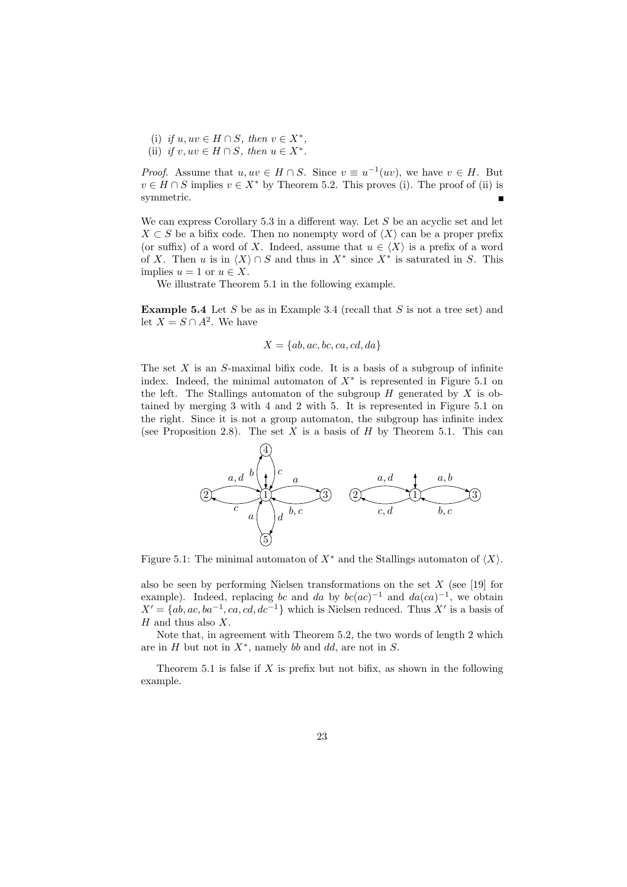- (i) if  $u, uv \in H \cap S$ , then  $v \in X^*$ ,
- (ii) if  $v, uv \in H \cap S$ , then  $u \in X^*$ .

*Proof.* Assume that  $u, uv \in H \cap S$ . Since  $v \equiv u^{-1}(uv)$ , we have  $v \in H$ . But  $v \in H \cap S$  implies  $v \in X^*$  by Theorem 5.2. This proves (i). The proof of (ii) is symmetric.

We can express Corollary  $5.3$  in a different way. Let S be an acyclic set and let  $X \subset S$  be a bifix code. Then no nonempty word of  $\langle X \rangle$  can be a proper prefix (or suffix) of a word of X. Indeed, assume that  $u \in \langle X \rangle$  is a prefix of a word of X. Then u is in  $\langle X \rangle \cap S$  and thus in  $X^*$  since  $X^*$  is saturated in S. This implies  $u = 1$  or  $u \in X$ .

We illustrate Theorem 5.1 in the following example.

**Example 5.4** Let S be as in Example 3.4 (recall that S is not a tree set) and let  $X = S \cap A^2$ . We have

$$
X = \{ab, ac, bc, ca, cd, da\}
$$

The set  $X$  is an  $S$ -maximal bifix code. It is a basis of a subgroup of infinite index. Indeed, the minimal automaton of  $X^*$  is represented in Figure 5.1 on the left. The Stallings automaton of the subgroup  $H$  generated by  $X$  is obtained by merging 3 with 4 and 2 with 5. It is represented in Figure 5.1 on the right. Since it is not a group automaton, the subgroup has infinite index (see Proposition 2.8). The set  $X$  is a basis of  $H$  by Theorem 5.1. This can

$$
(2) \t\t\t\t\t\t\t\t\t\frac{a, d}{c} \t\t\t\t\frac{b}{a} \t\t\t\t\frac{1}{d} \t\t\t\t\frac{1}{b, c} \t\t\t\t\t\frac{1}{d} \t\t\t\t\frac{1}{b, c} \t\t\t\t\frac{1}{d} \t\t\t\t\frac{1}{b, c} \t\t\t\t\frac{1}{d} \t\t\t\frac{1}{b, c} \t\t\t\t\frac{1}{d} \t\t\t\frac{1}{b, c} \t\t\t\t\frac{1}{d} \t\t\t\frac{1}{d} \t\t\t\t\frac{1}{d} \t\t\t\t\frac{1}{d} \t\t\t\t\frac{1}{d} \t\t\t\t\frac{1}{d} \t\t\t\t\frac{1}{d} \t\t\t\t\frac{1}{d} \t\t\t\t\frac{1}{d} \t\t\t\t\frac{1}{d} \t\t\t\t\frac{1}{d} \t\t\t\t\frac{1}{d} \t\t\t\t\frac{1}{d} \t\t\t\t\frac{1}{d} \t\t\t\t\frac{1}{d} \t\t\t\t\frac{1}{d} \t\t\t\t\frac{1}{d} \t\t\t\t\frac{1}{d} \t\t\t\t\frac{1}{d} \t\t\t\t\frac{1}{d} \t\t\t\t\frac{1}{d} \t\t\t\t\frac{1}{d} \t\t\t\t\frac{1}{d} \t\t\t\t\frac{1}{d} \t\t\t\t\frac{1}{d} \t\t\t\t\frac{1}{d} \t\t\t\t\frac{1}{d} \t\t\t\t\frac{1}{d} \t\t\t\t\frac{1}{d} \t\t\t\t\frac{1}{d} \t\t\t\t\frac{1}{d} \t\t\t\t\frac{1}{d} \t\t\t\t\frac{1}{d} \t\t\t\t\frac{1}{d} \t\t\t\t\frac{1}{d} \t\t\t\t\frac{1}{d} \t\t\t\t\frac{1}{d} \t\t\t\t\frac{1}{d} \t\t\t\t\frac{1}{d} \t\t\t\t\frac{1}{d} \t\t\t\t\frac{1}{d} \t\t\t\t\frac{1}{d} \t\t\t\t\frac{1}{d} \t\t\t\t\frac{1}{d} \t\t\t\t\frac{1}{d} \t\t\t\t\frac{1}{d} \t\t\t\t\frac{1}{d} \t\t\t\t\frac{1}{d} \t\t\t\t\frac{1}{d} \t\t\t\t\frac{1}{
$$

Figure 5.1: The minimal automaton of  $X^*$  and the Stallings automaton of  $\langle X \rangle$ .

also be seen by performing Nielsen transformations on the set  $X$  (see [19] for example). Indeed, replacing bc and da by  $bc(ac)^{-1}$  and  $da(ca)^{-1}$ , we obtain  $X' = \{ab, ac, ba^{-1}, ca, cd, dc^{-1}\}\$  which is Nielsen reduced. Thus X' is a basis of  $H$  and thus also  $X$ .

Note that, in agreement with Theorem 5.2, the two words of length 2 which are in  $H$  but not in  $X^*$ , namely bb and dd, are not in  $S$ .

Theorem 5.1 is false if  $X$  is prefix but not bifix, as shown in the following example.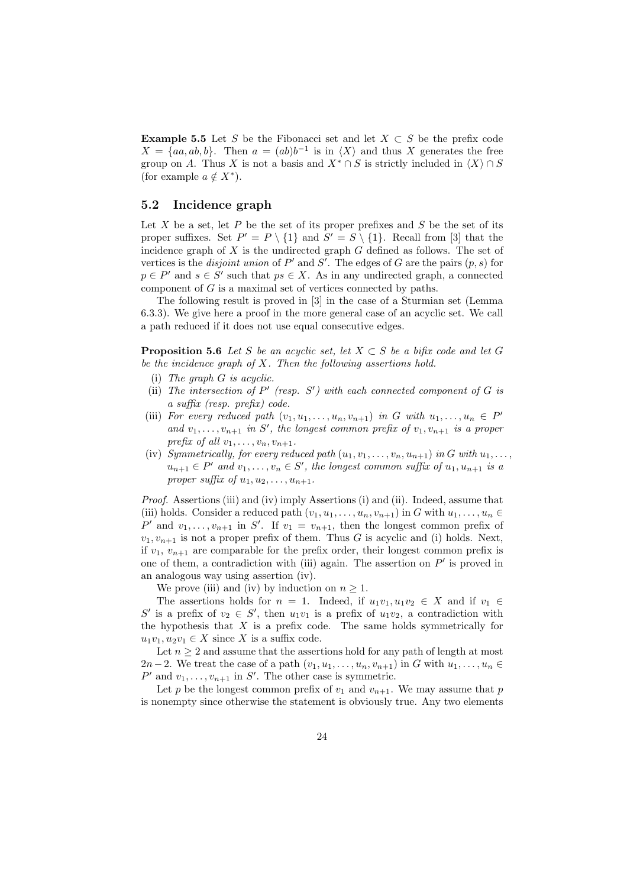**Example 5.5** Let S be the Fibonacci set and let  $X \subset S$  be the prefix code  $X = \{aa, ab, b\}$ . Then  $a = (ab)b^{-1}$  is in  $\langle X \rangle$  and thus X generates the free group on A. Thus X is not a basis and  $X^* \cap S$  is strictly included in  $\langle X \rangle \cap S$ (for example  $a \notin X^*$ ).

#### 5.2 Incidence graph

Let  $X$  be a set, let  $P$  be the set of its proper prefixes and  $S$  be the set of its proper suffixes. Set  $P' = P \setminus \{1\}$  and  $S' = S \setminus \{1\}$ . Recall from [3] that the incidence graph of  $X$  is the undirected graph  $G$  defined as follows. The set of vertices is the *disjoint union* of  $P'$  and  $S'$ . The edges of G are the pairs  $(p, s)$  for  $p \in P'$  and  $s \in S'$  such that  $ps \in X$ . As in any undirected graph, a connected component of  $G$  is a maximal set of vertices connected by paths.

The following result is proved in [3] in the case of a Sturmian set (Lemma 6.3.3). We give here a proof in the more general case of an acyclic set. We call a path reduced if it does not use equal consecutive edges.

**Proposition 5.6** Let S be an acyclic set, let  $X \subset S$  be a bifix code and let G be the incidence graph of  $X$ . Then the following assertions hold.

- $(i)$  The graph  $G$  is acyclic.
- (ii) The intersection of  $P'$  (resp.  $S'$ ) with each connected component of  $G$  is a suffix (resp. prefix) code.
- (iii) For every reduced path  $(v_1, u_1, \ldots, u_n, v_{n+1})$  in G with  $u_1, \ldots, u_n \in P'$ and  $v_1, \ldots, v_{n+1}$  in S', the longest common prefix of  $v_1, v_{n+1}$  is a proper prefix of all  $v_1, \ldots, v_n, v_{n+1}$ .
- (iv) Symmetrically, for every reduced path  $(u_1, v_1, \ldots, v_n, u_{n+1})$  in G with  $u_1, \ldots,$  $u_{n+1} \in P'$  and  $v_1, \ldots, v_n \in S'$ , the longest common suffix of  $u_1, u_{n+1}$  is a proper suffix of  $u_1, u_2, \ldots, u_{n+1}$ .

Proof. Assertions (iii) and (iv) imply Assertions (i) and (ii). Indeed, assume that (iii) holds. Consider a reduced path  $(v_1, u_1, \ldots, u_n, v_{n+1})$  in G with  $u_1, \ldots, u_n \in$ P' and  $v_1, \ldots, v_{n+1}$  in S'. If  $v_1 = v_{n+1}$ , then the longest common prefix of  $v_1, v_{n+1}$  is not a proper prefix of them. Thus G is acyclic and (i) holds. Next, if  $v_1, v_{n+1}$  are comparable for the prefix order, their longest common prefix is one of them, a contradiction with (iii) again. The assertion on  $P'$  is proved in an analogous way using assertion (iv).

We prove (iii) and (iv) by induction on  $n \geq 1$ .

The assertions holds for  $n = 1$ . Indeed, if  $u_1v_1, u_1v_2 \in X$  and if  $v_1 \in$ S' is a prefix of  $v_2 \in S'$ , then  $u_1v_1$  is a prefix of  $u_1v_2$ , a contradiction with the hypothesis that  $X$  is a prefix code. The same holds symmetrically for  $u_1v_1, u_2v_1 \in X$  since X is a suffix code.

Let  $n \geq 2$  and assume that the assertions hold for any path of length at most 2n−2. We treat the case of a path  $(v_1, u_1, \ldots, u_n, v_{n+1})$  in G with  $u_1, \ldots, u_n \in$  $P'$  and  $v_1, \ldots, v_{n+1}$  in  $S'$ . The other case is symmetric.

Let p be the longest common prefix of  $v_1$  and  $v_{n+1}$ . We may assume that p is nonempty since otherwise the statement is obviously true. Any two elements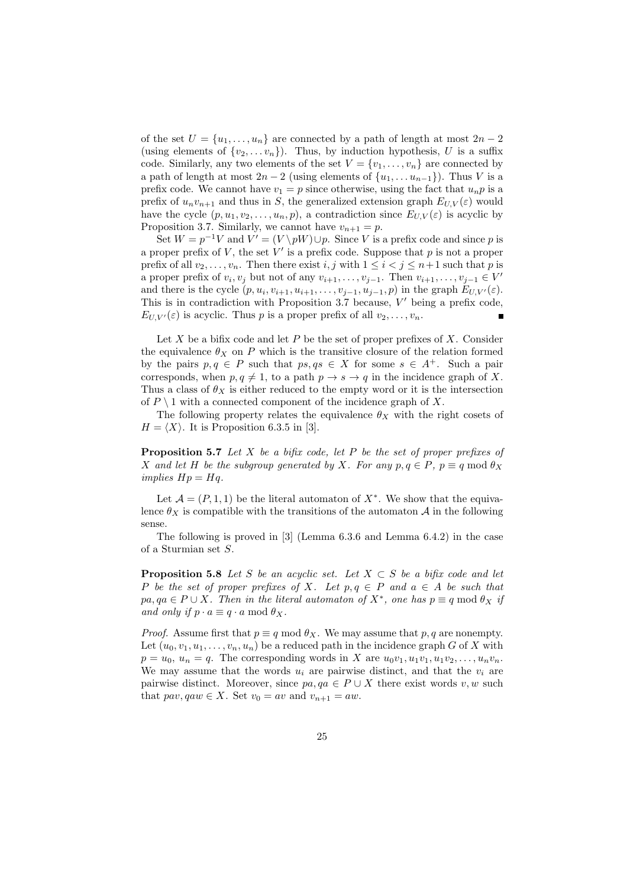of the set  $U = \{u_1, \ldots, u_n\}$  are connected by a path of length at most  $2n - 2$ (using elements of  $\{v_2, \ldots v_n\}$ ). Thus, by induction hypothesis, U is a suffix code. Similarly, any two elements of the set  $V = \{v_1, \ldots, v_n\}$  are connected by a path of length at most  $2n-2$  (using elements of  $\{u_1, \ldots u_{n-1}\}\)$ . Thus V is a prefix code. We cannot have  $v_1 = p$  since otherwise, using the fact that  $u_n p$  is a prefix of  $u_n v_{n+1}$  and thus in S, the generalized extension graph  $E_{U,V}(\varepsilon)$  would have the cycle  $(p, u_1, v_2, \ldots, u_n, p)$ , a contradiction since  $E_{UV}(\varepsilon)$  is acyclic by Proposition 3.7. Similarly, we cannot have  $v_{n+1} = p$ .

Set  $W = p^{-1}V$  and  $V' = (V \backslash pW) \cup p$ . Since V is a prefix code and since p is a proper prefix of  $V$ , the set  $V'$  is a prefix code. Suppose that  $p$  is not a proper prefix of all  $v_2, \ldots, v_n$ . Then there exist i, j with  $1 \leq i < j \leq n+1$  such that p is a proper prefix of  $v_i, v_j$  but not of any  $v_{i+1}, \ldots, v_{j-1}$ . Then  $v_{i+1}, \ldots, v_{j-1} \in V'$ and there is the cycle  $(p, u_i, v_{i+1}, u_{i+1}, \ldots, v_{j-1}, u_{j-1}, p)$  in the graph  $E_{U, V'}(\varepsilon)$ . This is in contradiction with Proposition 3.7 because,  $V'$  being a prefix code,  $E_{U,V'}(\varepsilon)$  is acyclic. Thus p is a proper prefix of all  $v_2,\ldots,v_n$ .

Let  $X$  be a bifix code and let  $P$  be the set of proper prefixes of  $X$ . Consider the equivalence  $\theta_X$  on P which is the transitive closure of the relation formed by the pairs  $p, q \in P$  such that  $ps, qs \in X$  for some  $s \in A^+$ . Such a pair corresponds, when  $p, q \neq 1$ , to a path  $p \rightarrow s \rightarrow q$  in the incidence graph of X. Thus a class of  $\theta_X$  is either reduced to the empty word or it is the intersection of  $P \setminus 1$  with a connected component of the incidence graph of X.

The following property relates the equivalence  $\theta_X$  with the right cosets of  $H = \langle X \rangle$ . It is Proposition 6.3.5 in [3].

**Proposition 5.7** Let X be a bifix code, let P be the set of proper prefixes of X and let H be the subgroup generated by X. For any  $p, q \in P$ ,  $p \equiv q \mod \theta_X$ implies  $Hp = Hq$ .

Let  $\mathcal{A} = (P, 1, 1)$  be the literal automaton of  $X^*$ . We show that the equivalence  $\theta_X$  is compatible with the transitions of the automaton A in the following sense.

The following is proved in [3] (Lemma 6.3.6 and Lemma 6.4.2) in the case of a Sturmian set S.

**Proposition 5.8** Let S be an acyclic set. Let  $X \subset S$  be a bifix code and let P be the set of proper prefixes of X. Let  $p, q \in P$  and  $a \in A$  be such that  $pa, qa \in P \cup X$ . Then in the literal automaton of  $X^*$ , one has  $p \equiv q \mod \theta_X$  if and only if  $p \cdot a \equiv q \cdot a \mod \theta_X$ .

*Proof.* Assume first that  $p \equiv q \mod \theta_X$ . We may assume that p, q are nonempty. Let  $(u_0, v_1, u_1, \ldots, v_n, u_n)$  be a reduced path in the incidence graph G of X with  $p = u_0, u_n = q$ . The corresponding words in X are  $u_0v_1, u_1v_1, u_1v_2, \ldots, u_nv_n$ . We may assume that the words  $u_i$  are pairwise distinct, and that the  $v_i$  are pairwise distinct. Moreover, since  $pa, qa \in P \cup X$  there exist words v, w such that  $pav, qaw \in X$ . Set  $v_0 = av$  and  $v_{n+1} = aw$ .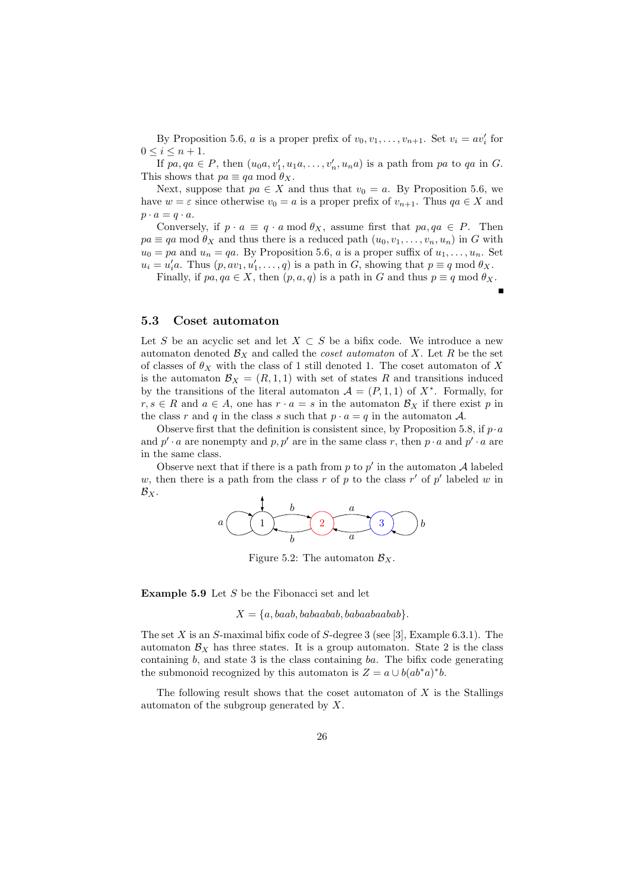By Proposition 5.6, *a* is a proper prefix of  $v_0, v_1, \ldots, v_{n+1}$ . Set  $v_i = av'_i$  for  $0\leq i\leq n+1.$ 

If  $pa, qa \in P$ , then  $(u_0a, v'_1, u_1a, \ldots, v'_n, u_na)$  is a path from pa to qa in G. This shows that  $pa \equiv qa \mod \theta_X$ .

Next, suppose that  $pa \in X$  and thus that  $v_0 = a$ . By Proposition 5.6, we have  $w = \varepsilon$  since otherwise  $v_0 = a$  is a proper prefix of  $v_{n+1}$ . Thus  $qa \in X$  and  $p \cdot a = q \cdot a$ .

Conversely, if  $p \cdot a \equiv q \cdot a \mod \theta_X$ , assume first that  $pa, qa \in P$ . Then  $pa \equiv qa \mod \theta_X$  and thus there is a reduced path  $(u_0, v_1, \ldots, v_n, u_n)$  in G with  $u_0 = pa$  and  $u_n = qa$ . By Proposition 5.6, a is a proper suffix of  $u_1, \ldots, u_n$ . Set  $u_i = u'_i a$ . Thus  $(p, av_1, u'_1, \ldots, q)$  is a path in G, showing that  $p \equiv q \mod \theta_X$ .

Finally, if  $pa, qa \in X$ , then  $(p, a, q)$  is a path in G and thus  $p \equiv q \mod \theta_X$ .

#### 5.3 Coset automaton

Let S be an acyclic set and let  $X \subset S$  be a bifix code. We introduce a new automaton denoted  $\mathcal{B}_X$  and called the *coset automaton* of X. Let R be the set of classes of  $\theta_X$  with the class of 1 still denoted 1. The coset automaton of X is the automaton  $\mathcal{B}_X = (R, 1, 1)$  with set of states R and transitions induced by the transitions of the literal automaton  $\mathcal{A} = (P, 1, 1)$  of  $X^*$ . Formally, for  $r, s \in R$  and  $a \in A$ , one has  $r \cdot a = s$  in the automaton  $\mathcal{B}_X$  if there exist p in the class r and q in the class s such that  $p \cdot a = q$  in the automaton A.

Observe first that the definition is consistent since, by Proposition 5.8, if  $p \cdot a$ and  $p' \cdot a$  are nonempty and  $p, p'$  are in the same class r, then  $p \cdot a$  and  $p' \cdot a$  are in the same class.

Observe next that if there is a path from  $p$  to  $p'$  in the automaton  $\mathcal A$  labeled w, then there is a path from the class r of p to the class r' of p' labeled w in  $\mathcal{B}_X$ .



Figure 5.2: The automaton  $\mathcal{B}_X$ .

Example 5.9 Let S be the Fibonacci set and let

 $X = \{a, baab, babaabab, babaabaabab\}.$ 

The set X is an S-maximal bifix code of S-degree 3 (see [3], Example 6.3.1). The automaton  $\mathcal{B}_X$  has three states. It is a group automaton. State 2 is the class containing  $b$ , and state 3 is the class containing  $ba$ . The bifix code generating the submonoid recognized by this automaton is  $Z = a \cup b(ab^*a)^*b$ .

The following result shows that the coset automaton of  $X$  is the Stallings automaton of the subgroup generated by X.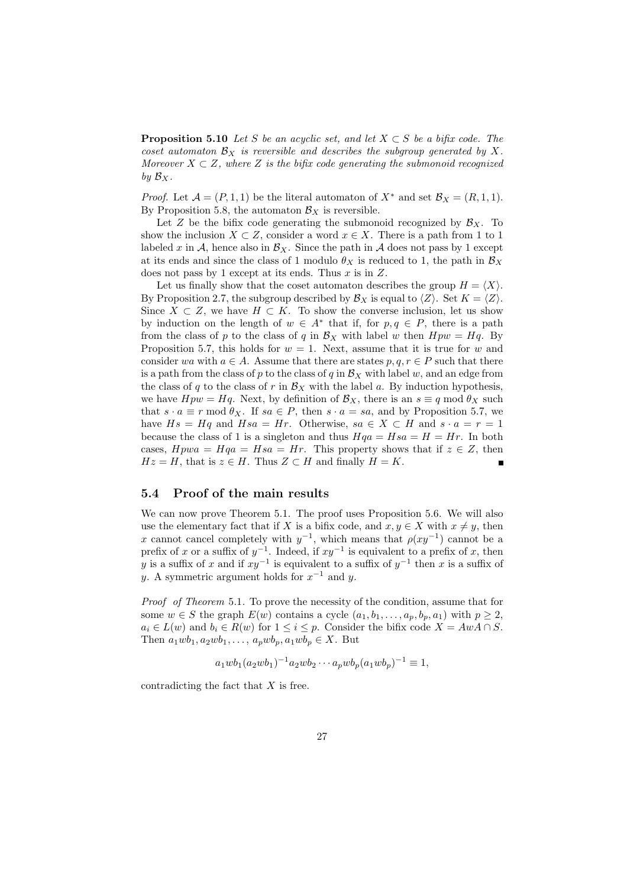**Proposition 5.10** Let S be an acyclic set, and let  $X \subset S$  be a bifix code. The coset automaton  $\mathcal{B}_X$  is reversible and describes the subgroup generated by X. Moreover  $X \subset Z$ , where Z is the bifix code generating the submonoid recognized by  $\mathcal{B}_X$ .

*Proof.* Let  $\mathcal{A} = (P, 1, 1)$  be the literal automaton of  $X^*$  and set  $\mathcal{B}_X = (R, 1, 1)$ . By Proposition 5.8, the automaton  $\mathcal{B}_X$  is reversible.

Let Z be the bifix code generating the submonoid recognized by  $\mathcal{B}_X$ . To show the inclusion  $X \subset Z$ , consider a word  $x \in X$ . There is a path from 1 to 1 labeled x in A, hence also in  $\mathcal{B}_X$ . Since the path in A does not pass by 1 except at its ends and since the class of 1 modulo  $\theta_X$  is reduced to 1, the path in  $\mathcal{B}_X$ does not pass by 1 except at its ends. Thus  $x$  is in  $Z$ .

Let us finally show that the coset automaton describes the group  $H = \langle X \rangle$ . By Proposition 2.7, the subgroup described by  $\mathcal{B}_X$  is equal to  $\langle Z \rangle$ . Set  $K = \langle Z \rangle$ . Since  $X \subset Z$ , we have  $H \subset K$ . To show the converse inclusion, let us show by induction on the length of  $w \in A^*$  that if, for  $p, q \in P$ , there is a path from the class of p to the class of q in  $\mathcal{B}_X$  with label w then  $Hpw = Hq$ . By Proposition 5.7, this holds for  $w = 1$ . Next, assume that it is true for w and consider wa with  $a \in A$ . Assume that there are states  $p, q, r \in P$  such that there is a path from the class of p to the class of q in  $B_X$  with label w, and an edge from the class of q to the class of r in  $\mathcal{B}_X$  with the label a. By induction hypothesis, we have  $Hpw = Hq$ . Next, by definition of  $\mathcal{B}_X$ , there is an  $s \equiv q \mod \theta_X$  such that  $s \cdot a \equiv r \mod \theta_X$ . If  $sa \in P$ , then  $s \cdot a = sa$ , and by Proposition 5.7, we have  $Hs = Hq$  and  $Hsa = Hr$ . Otherwise,  $sa \in X \subset H$  and  $s \cdot a = r = 1$ because the class of 1 is a singleton and thus  $Hqa = Hsa = H = Hr$ . In both cases,  $H$ pwa =  $H$ qa =  $H$ sa =  $H$ r. This property shows that if  $z \in Z$ , then  $Hz = H$ , that is  $z \in H$ . Thus  $Z \subset H$  and finally  $H = K$ .

#### 5.4 Proof of the main results

We can now prove Theorem 5.1. The proof uses Proposition 5.6. We will also use the elementary fact that if X is a bifix code, and  $x, y \in X$  with  $x \neq y$ , then x cannot cancel completely with  $y^{-1}$ , which means that  $\rho(xy^{-1})$  cannot be a prefix of x or a suffix of  $y^{-1}$ . Indeed, if  $xy^{-1}$  is equivalent to a prefix of x, then y is a suffix of x and if  $xy^{-1}$  is equivalent to a suffix of  $y^{-1}$  then x is a suffix of y. A symmetric argument holds for  $x^{-1}$  and y.

Proof of Theorem 5.1. To prove the necessity of the condition, assume that for some  $w \in S$  the graph  $E(w)$  contains a cycle  $(a_1, b_1, \ldots, a_p, b_p, a_1)$  with  $p \geq 2$ ,  $a_i \in L(w)$  and  $b_i \in R(w)$  for  $1 \leq i \leq p$ . Consider the bifix code  $X = AwA \cap S$ . Then  $a_1wb_1, a_2wb_1, \ldots, a_pwb_p, a_1wb_p \in X$ . But

$$
a_1 w b_1 (a_2 w b_1)^{-1} a_2 w b_2 \cdots a_p w b_p (a_1 w b_p)^{-1} \equiv 1,
$$

contradicting the fact that  $X$  is free.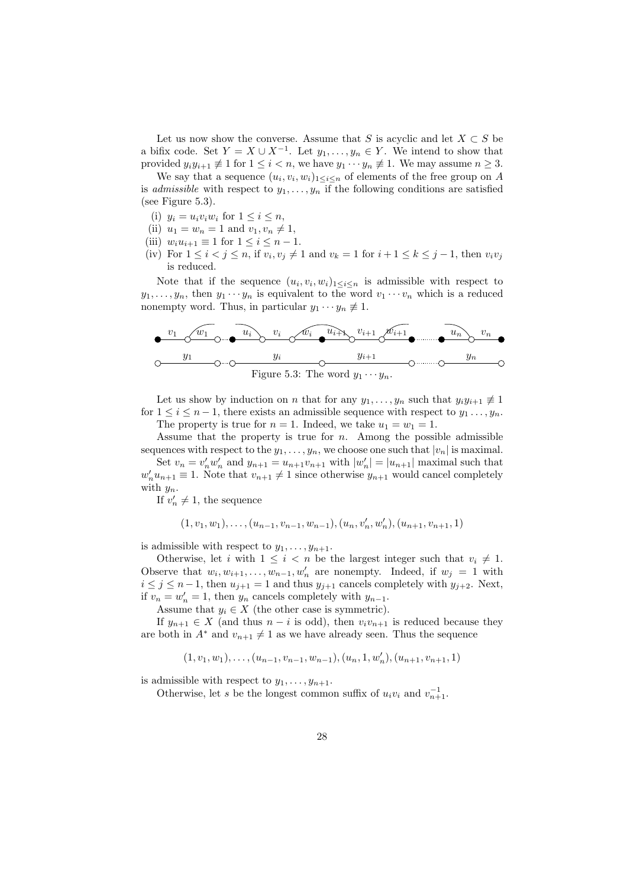Let us now show the converse. Assume that S is acyclic and let  $X \subset S$  be a bifix code. Set  $Y = X \cup X^{-1}$ . Let  $y_1, \ldots, y_n \in Y$ . We intend to show that provided  $y_i y_{i+1} \neq 1$  for  $1 \leq i < n$ , we have  $y_1 \cdots y_n \neq 1$ . We may assume  $n \geq 3$ .

We say that a sequence  $(u_i, v_i, w_i)_{1 \leq i \leq n}$  of elements of the free group on A is admissible with respect to  $y_1, \ldots, y_n$  if the following conditions are satisfied (see Figure 5.3).

- (i)  $y_i = u_i v_i w_i$  for  $1 \leq i \leq n$ ,
- (ii)  $u_1 = w_n = 1$  and  $v_1, v_n \neq 1$ ,
- (iii)  $w_i u_{i+1} \equiv 1$  for  $1 \leq i \leq n-1$ .
- (iv) For  $1 \leq i < j \leq n$ , if  $v_i, v_j \neq 1$  and  $v_k = 1$  for  $i + 1 \leq k \leq j 1$ , then  $v_i v_j$ is reduced.

Note that if the sequence  $(u_i, v_i, w_i)_{1 \leq i \leq n}$  is admissible with respect to  $y_1, \ldots, y_n$ , then  $y_1 \cdots y_n$  is equivalent to the word  $v_1 \cdots v_n$  which is a reduced nonempty word. Thus, in particular  $y_1 \cdots y_n \not\equiv 1$ .



Let us show by induction on n that for any  $y_1, \ldots, y_n$  such that  $y_i y_{i+1} \neq 1$ for  $1 \leq i \leq n-1$ , there exists an admissible sequence with respect to  $y_1 \ldots, y_n$ . The property is true for  $n = 1$ . Indeed, we take  $u_1 = w_1 = 1$ .

Assume that the property is true for  $n$ . Among the possible admissible

sequences with respect to the  $y_1, \ldots, y_n$ , we choose one such that  $|v_n|$  is maximal. Set  $v_n = v'_n w'_n$  and  $y_{n+1} = u_{n+1} v_{n+1}$  with  $|w'_n| = |u_{n+1}|$  maximal such that  $w'_n u_{n+1} \equiv 1$ . Note that  $v_{n+1} \neq 1$  since otherwise  $y_{n+1}$  would cancel completely with  $y_n$ .

If  $v'_n \neq 1$ , the sequence

$$
(1, v_1, w_1), \ldots, (u_{n-1}, v_{n-1}, w_{n-1}), (u_n, v'_n, w'_n), (u_{n+1}, v_{n+1}, 1)
$$

is admissible with respect to  $y_1, \ldots, y_{n+1}$ .

Otherwise, let i with  $1 \leq i < n$  be the largest integer such that  $v_i \neq 1$ . Observe that  $w_i, w_{i+1}, \ldots, w_{n-1}, w'_n$  are nonempty. Indeed, if  $w_j = 1$  with  $i \leq j \leq n-1$ , then  $u_{j+1} = 1$  and thus  $y_{j+1}$  cancels completely with  $y_{j+2}$ . Next, if  $v_n = w'_n = 1$ , then  $y_n$  cancels completely with  $y_{n-1}$ .

Assume that  $y_i \in X$  (the other case is symmetric).

If  $y_{n+1} \in X$  (and thus  $n-i$  is odd), then  $v_i v_{n+1}$  is reduced because they are both in  $A^*$  and  $v_{n+1} \neq 1$  as we have already seen. Thus the sequence

$$
(1, v_1, w_1), \ldots, (u_{n-1}, v_{n-1}, w_{n-1}), (u_n, 1, w'_n), (u_{n+1}, v_{n+1}, 1)
$$

is admissible with respect to  $y_1, \ldots, y_{n+1}$ .

Otherwise, let s be the longest common suffix of  $u_i v_i$  and  $v_{n+1}^{-1}$ .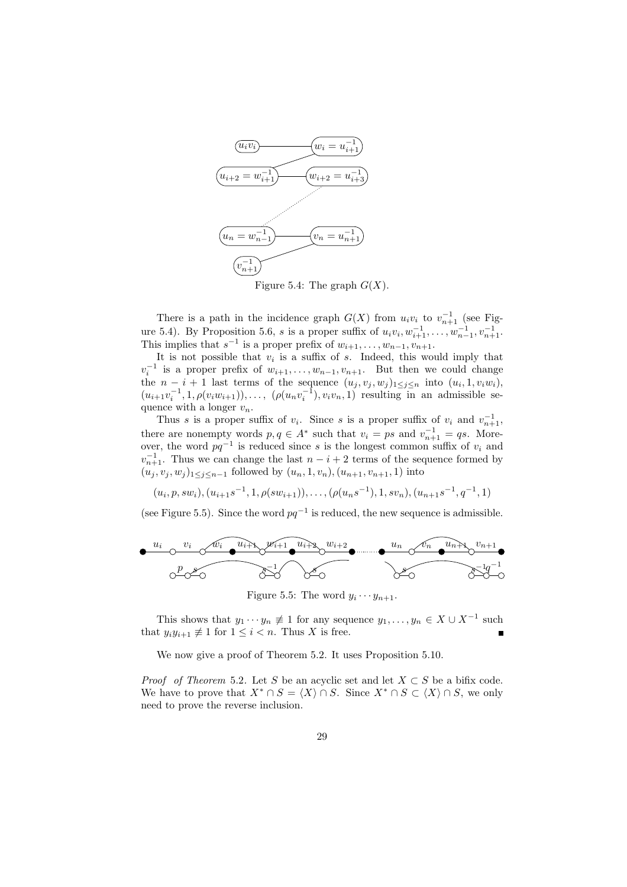

Figure 5.4: The graph  $G(X)$ .

There is a path in the incidence graph  $G(X)$  from  $u_i v_i$  to  $v_{n+1}^{-1}$  (see Figure 5.4). By Proposition 5.6, s is a proper suffix of  $u_i v_i, w_{i+1}^{-1}, \ldots, w_{n-1}^{-1}, v_{n+1}^{-1}$ . This implies that  $s^{-1}$  is a proper prefix of  $w_{i+1}, \ldots, w_{n-1}, v_{n+1}$ .

It is not possible that  $v_i$  is a suffix of s. Indeed, this would imply that  $v_i^{-1}$  is a proper prefix of  $w_{i+1}, \ldots, w_{n-1}, v_{n+1}$ . But then we could change the  $n-i+1$  last terms of the sequence  $(u_j, v_j, w_j)_{1 \leq j \leq n}$  into  $(u_i, 1, v_i w_i)$ ,  $(u_{i+1}v_i^{-1}, 1, \rho(v_iw_{i+1})), \ldots, \; (\rho(u_nv_i^{-1}), v_iv_n, 1)$  resulting in an admissible sequence with a longer  $v_n$ .

Thus s is a proper suffix of  $v_i$ . Since s is a proper suffix of  $v_i$  and  $v_{n+1}^{-1}$ , there are nonempty words  $p, q \in A^*$  such that  $v_i = ps$  and  $v_{n+1}^{-1} = qs$ . Moreover, the word  $pq^{-1}$  is reduced since s is the longest common suffix of  $v_i$  and  $v_{n+1}^{-1}$ . Thus we can change the last  $n-i+2$  terms of the sequence formed by  $(u_j, v_j, w_j)_{1 \leq j \leq n-1}$  followed by  $(u_n, 1, v_n)$ ,  $(u_{n+1}, v_{n+1}, 1)$  into

$$
(u_i, p, sw_i), (u_{i+1}s^{-1}, 1, \rho(sw_{i+1})), \ldots, (\rho(u_ns^{-1}), 1, sv_n), (u_{n+1}s^{-1}, q^{-1}, 1)
$$

(see Figure 5.5). Since the word  $pq^{-1}$  is reduced, the new sequence is admissible.



This shows that  $y_1 \cdots y_n \neq 1$  for any sequence  $y_1, \ldots, y_n \in X \cup X^{-1}$  such that  $y_i y_{i+1} \neq 1$  for  $1 \leq i < n$ . Thus X is free.

We now give a proof of Theorem 5.2. It uses Proposition 5.10.

*Proof of Theorem* 5.2. Let S be an acyclic set and let  $X \subset S$  be a bifix code. We have to prove that  $X^* \cap S = \langle X \rangle \cap S$ . Since  $X^* \cap S \subset \langle X \rangle \cap S$ , we only need to prove the reverse inclusion.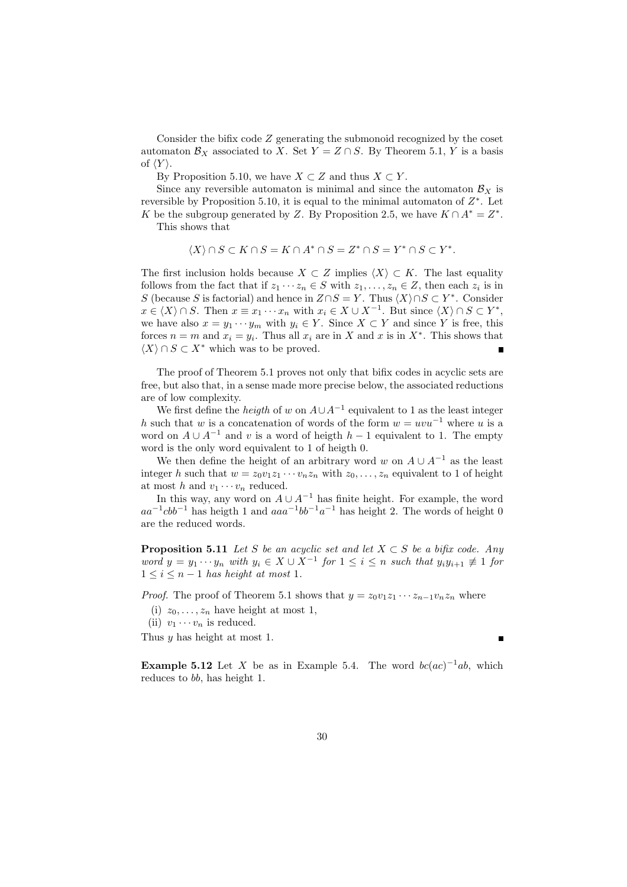Consider the bifix code Z generating the submonoid recognized by the coset automaton  $\mathcal{B}_X$  associated to X. Set  $Y = Z \cap S$ . By Theorem 5.1, Y is a basis of  $\langle Y \rangle$ .

By Proposition 5.10, we have  $X \subset Z$  and thus  $X \subset Y$ .

Since any reversible automaton is minimal and since the automaton  $\mathcal{B}_X$  is reversible by Proposition 5.10, it is equal to the minimal automaton of  $Z^*$ . Let K be the subgroup generated by Z. By Proposition 2.5, we have  $K \cap A^* = Z^*$ .

This shows that

$$
\langle X \rangle \cap S \subset K \cap S = K \cap A^* \cap S = Z^* \cap S = Y^* \cap S \subset Y^*.
$$

The first inclusion holds because  $X \subset Z$  implies  $\langle X \rangle \subset K$ . The last equality follows from the fact that if  $z_1 \cdots z_n \in S$  with  $z_1, \ldots, z_n \in Z$ , then each  $z_i$  is in S (because S is factorial) and hence in  $Z \cap S = Y$ . Thus  $\langle X \rangle \cap S \subset Y^*$ . Consider  $x \in \langle X \rangle \cap S$ . Then  $x \equiv x_1 \cdots x_n$  with  $x_i \in X \cup X^{-1}$ . But since  $\langle X \rangle \cap S \subset Y^*$ , we have also  $x = y_1 \cdots y_m$  with  $y_i \in Y$ . Since  $X \subset Y$  and since Y is free, this forces  $n = m$  and  $x_i = y_i$ . Thus all  $x_i$  are in X and x is in  $X^*$ . This shows that  $\langle X \rangle \cap S \subset X^*$  which was to be proved.

The proof of Theorem 5.1 proves not only that bifix codes in acyclic sets are free, but also that, in a sense made more precise below, the associated reductions are of low complexity.

We first define the *heigth* of w on  $A \cup A^{-1}$  equivalent to 1 as the least integer h such that w is a concatenation of words of the form  $w = uvu^{-1}$  where u is a word on  $A \cup A^{-1}$  and v is a word of heigth  $h-1$  equivalent to 1. The empty word is the only word equivalent to 1 of heigth 0.

We then define the height of an arbitrary word w on  $A \cup A^{-1}$  as the least integer h such that  $w = z_0v_1z_1 \cdots v_nz_n$  with  $z_0, \ldots, z_n$  equivalent to 1 of height at most h and  $v_1 \cdots v_n$  reduced.

In this way, any word on  $A \cup A^{-1}$  has finite height. For example, the word  $aa^{-1}cbb^{-1}$  has heigth 1 and  $aaa^{-1}bb^{-1}a^{-1}$  has height 2. The words of height 0 are the reduced words.

**Proposition 5.11** Let S be an acyclic set and let  $X \subset S$  be a bifix code. Any word  $y = y_1 \cdots y_n$  with  $y_i \in X \cup X^{-1}$  for  $1 \leq i \leq n$  such that  $y_i y_{i+1} \neq 1$  for  $1 \leq i \leq n-1$  has height at most 1.

*Proof.* The proof of Theorem 5.1 shows that  $y = z_0v_1z_1 \cdots z_{n-1}v_nz_n$  where

(i)  $z_0, \ldots, z_n$  have height at most 1,

(ii)  $v_1 \cdots v_n$  is reduced.

Thus y has height at most 1.

É

**Example 5.12** Let X be as in Example 5.4. The word  $bc(ac)^{-1}ab$ , which reduces to bb, has height 1.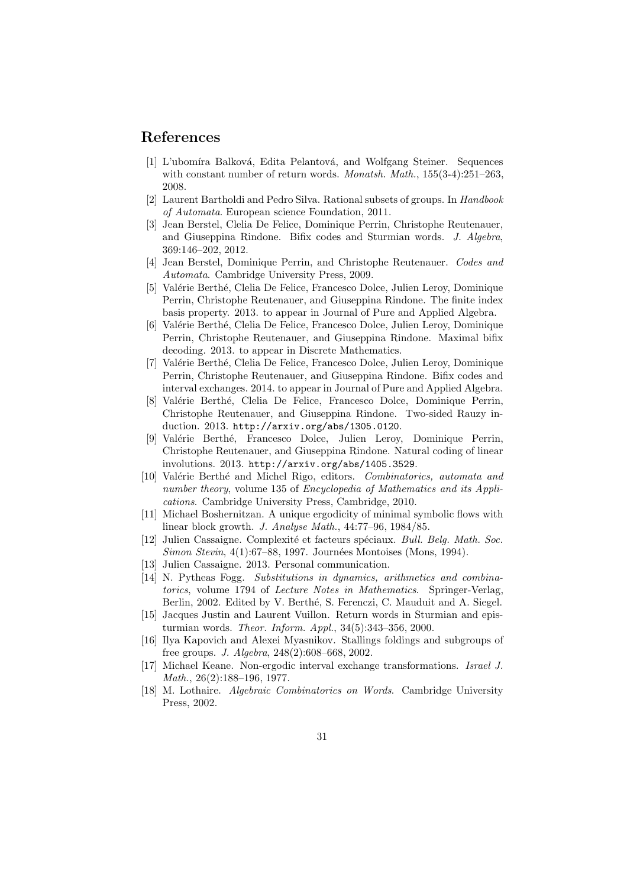## References

- [1] L'ubomíra Balková, Edita Pelantová, and Wolfgang Steiner. Sequences with constant number of return words. *Monatsh. Math.*, 155(3-4):251–263, 2008.
- [2] Laurent Bartholdi and Pedro Silva. Rational subsets of groups. In Handbook of Automata. European science Foundation, 2011.
- [3] Jean Berstel, Clelia De Felice, Dominique Perrin, Christophe Reutenauer, and Giuseppina Rindone. Bifix codes and Sturmian words. J. Algebra, 369:146–202, 2012.
- [4] Jean Berstel, Dominique Perrin, and Christophe Reutenauer. Codes and Automata. Cambridge University Press, 2009.
- [5] Valérie Berthé, Clelia De Felice, Francesco Dolce, Julien Leroy, Dominique Perrin, Christophe Reutenauer, and Giuseppina Rindone. The finite index basis property. 2013. to appear in Journal of Pure and Applied Algebra.
- [6] Valérie Berthé, Clelia De Felice, Francesco Dolce, Julien Leroy, Dominique Perrin, Christophe Reutenauer, and Giuseppina Rindone. Maximal bifix decoding. 2013. to appear in Discrete Mathematics.
- [7] Valérie Berthé, Clelia De Felice, Francesco Dolce, Julien Leroy, Dominique Perrin, Christophe Reutenauer, and Giuseppina Rindone. Bifix codes and interval exchanges. 2014. to appear in Journal of Pure and Applied Algebra.
- [8] Valérie Berthé, Clelia De Felice, Francesco Dolce, Dominique Perrin, Christophe Reutenauer, and Giuseppina Rindone. Two-sided Rauzy induction. 2013. http://arxiv.org/abs/1305.0120.
- [9] Valérie Berthé, Francesco Dolce, Julien Leroy, Dominique Perrin, Christophe Reutenauer, and Giuseppina Rindone. Natural coding of linear involutions. 2013. http://arxiv.org/abs/1405.3529.
- [10] Valérie Berthé and Michel Rigo, editors. Combinatorics, automata and number theory, volume 135 of Encyclopedia of Mathematics and its Applications. Cambridge University Press, Cambridge, 2010.
- [11] Michael Boshernitzan. A unique ergodicity of minimal symbolic flows with linear block growth. J. Analyse Math., 44:77–96, 1984/85.
- [12] Julien Cassaigne. Complexité et facteurs spéciaux. Bull. Belg. Math. Soc. Simon Stevin, 4(1):67–88, 1997. Journées Montoises (Mons, 1994).
- [13] Julien Cassaigne. 2013. Personal communication.
- [14] N. Pytheas Fogg. Substitutions in dynamics, arithmetics and combinatorics, volume 1794 of Lecture Notes in Mathematics. Springer-Verlag, Berlin, 2002. Edited by V. Berthé, S. Ferenczi, C. Mauduit and A. Siegel.
- [15] Jacques Justin and Laurent Vuillon. Return words in Sturmian and episturmian words. Theor. Inform. Appl., 34(5):343–356, 2000.
- [16] Ilya Kapovich and Alexei Myasnikov. Stallings foldings and subgroups of free groups. J. Algebra, 248(2):608–668, 2002.
- [17] Michael Keane. Non-ergodic interval exchange transformations. Israel J. Math., 26(2):188–196, 1977.
- [18] M. Lothaire. Algebraic Combinatorics on Words. Cambridge University Press, 2002.